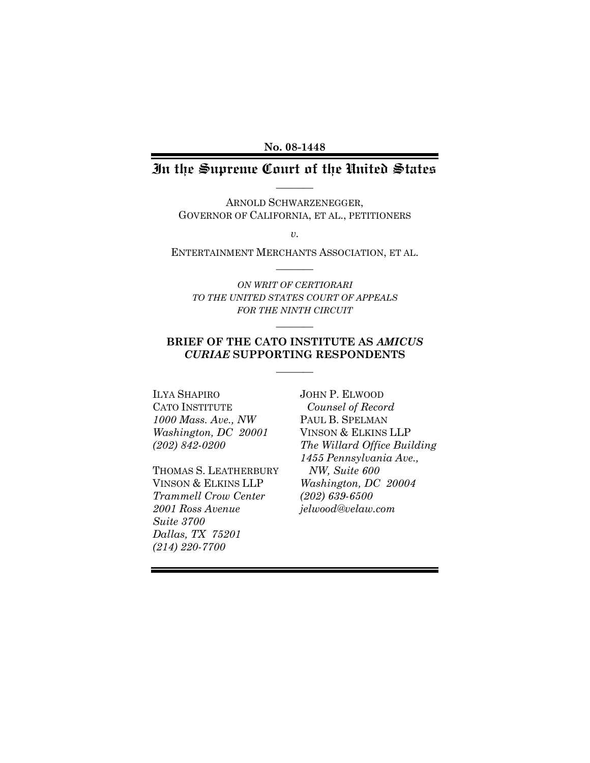#### **No. 08-1448**

### In the Supreme Court of the United States  $\overline{\phantom{a}}$

ARNOLD SCHWARZENEGGER, GOVERNOR OF CALIFORNIA, ET AL., PETITIONERS

*v.*

ENTERTAINMENT MERCHANTS ASSOCIATION, ET AL.  $\overline{\phantom{a}}$ 

*ON WRIT OF CERTIORARI TO THE UNITED STATES COURT OF APPEALS FOR THE NINTH CIRCUIT*

 $\overline{\phantom{a}}$ 

#### **BRIEF OF THE CATO INSTITUTE AS** *AMICUS CURIAE* **SUPPORTING RESPONDENTS**  $\overline{\phantom{a}}$

ILYA SHAPIRO CATO INSTITUTE *1000 Mass. Ave., NW Washington, DC 20001 (202) 842-0200*

THOMAS S. LEATHERBURY VINSON & ELKINS LLP *Trammell Crow Center 2001 Ross Avenue Suite 3700 Dallas, TX 75201 (214) 220-7700*

JOHN P. ELWOOD *Counsel of Record* PAUL B. SPELMAN VINSON & ELKINS LLP *The Willard Office Building 1455 Pennsylvania Ave., NW, Suite 600 Washington, DC 20004 (202) 639-6500 jelwood@velaw.com*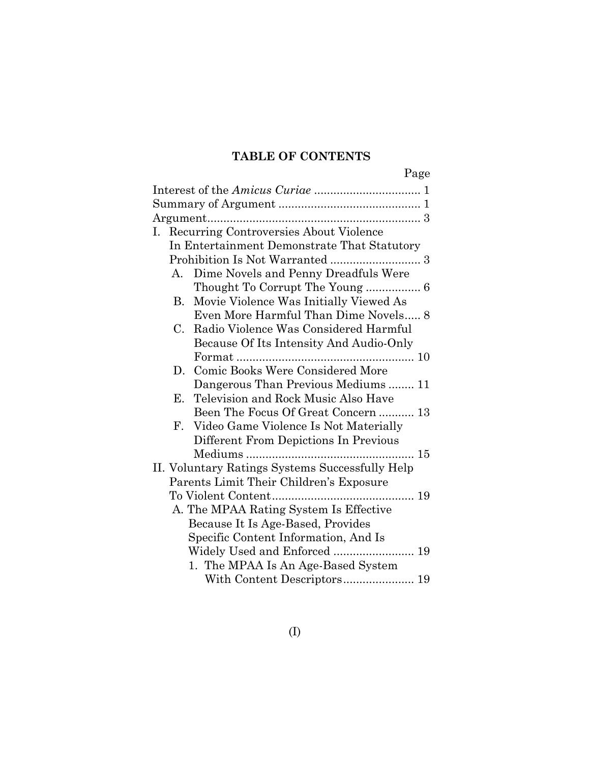## **TABLE OF CONTENTS**

|--|

|                   | I. Recurring Controversies About Violence       |
|-------------------|-------------------------------------------------|
|                   | In Entertainment Demonstrate That Statutory     |
|                   |                                                 |
| A.                | Dime Novels and Penny Dreadfuls Were            |
|                   | Thought To Corrupt The Young  6                 |
|                   | B. Movie Violence Was Initially Viewed As       |
|                   | Even More Harmful Than Dime Novels 8            |
| $C_{\cdot}$       | Radio Violence Was Considered Harmful           |
|                   | Because Of Its Intensity And Audio-Only         |
|                   |                                                 |
| D.                | Comic Books Were Considered More                |
|                   | Dangerous Than Previous Mediums 11              |
|                   | E. Television and Rock Music Also Have          |
|                   | Been The Focus Of Great Concern  13             |
| ${\rm F}_{\cdot}$ | Video Game Violence Is Not Materially           |
|                   | Different From Depictions In Previous           |
|                   |                                                 |
|                   | II. Voluntary Ratings Systems Successfully Help |
|                   |                                                 |
|                   | Parents Limit Their Children's Exposure         |
|                   |                                                 |
|                   | A. The MPAA Rating System Is Effective          |
|                   | Because It Is Age-Based, Provides               |
|                   | Specific Content Information, And Is            |
|                   | Widely Used and Enforced  19                    |
|                   | 1. The MPAA Is An Age-Based System              |
|                   |                                                 |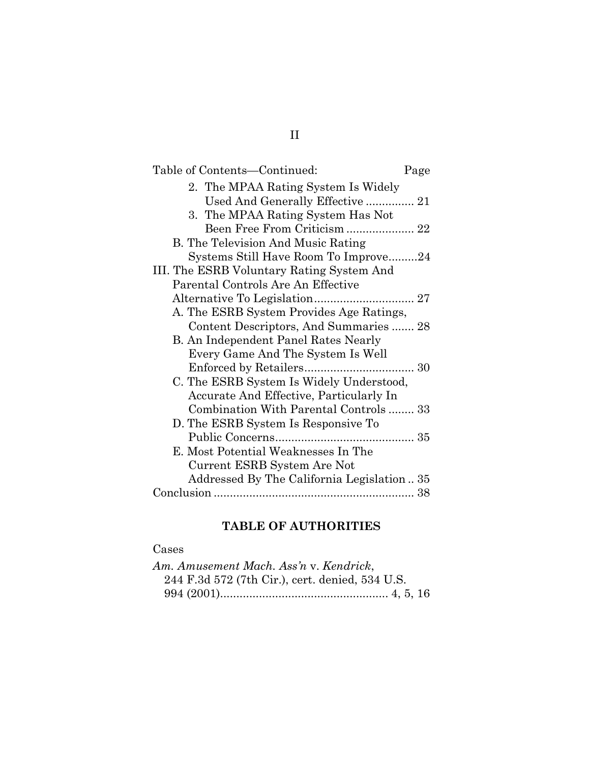| Table of Contents—Continued:              | Page |
|-------------------------------------------|------|
| 2. The MPAA Rating System Is Widely       |      |
| Used And Generally Effective 21           |      |
| 3. The MPAA Rating System Has Not         |      |
| Been Free From Criticism  22              |      |
| B. The Television And Music Rating        |      |
| Systems Still Have Room To Improve24      |      |
| III. The ESRB Voluntary Rating System And |      |
| Parental Controls Are An Effective        |      |
|                                           |      |
| A. The ESRB System Provides Age Ratings,  |      |
| Content Descriptors, And Summaries  28    |      |
| B. An Independent Panel Rates Nearly      |      |
| Every Game And The System Is Well         |      |
|                                           |      |
| C. The ESRB System Is Widely Understood,  |      |
| Accurate And Effective, Particularly In   |      |
| Combination With Parental Controls 33     |      |
| D. The ESRB System Is Responsive To       |      |
|                                           |      |
| E. Most Potential Weaknesses In The       |      |
| Current ESRB System Are Not               |      |
| Addressed By The California Legislation35 |      |
|                                           |      |

## **TABLE OF AUTHORITIES**

## Cases

| Am. Amusement Mach. Ass'n v. Kendrick,          |  |
|-------------------------------------------------|--|
| 244 F.3d 572 (7th Cir.), cert. denied, 534 U.S. |  |
|                                                 |  |

## II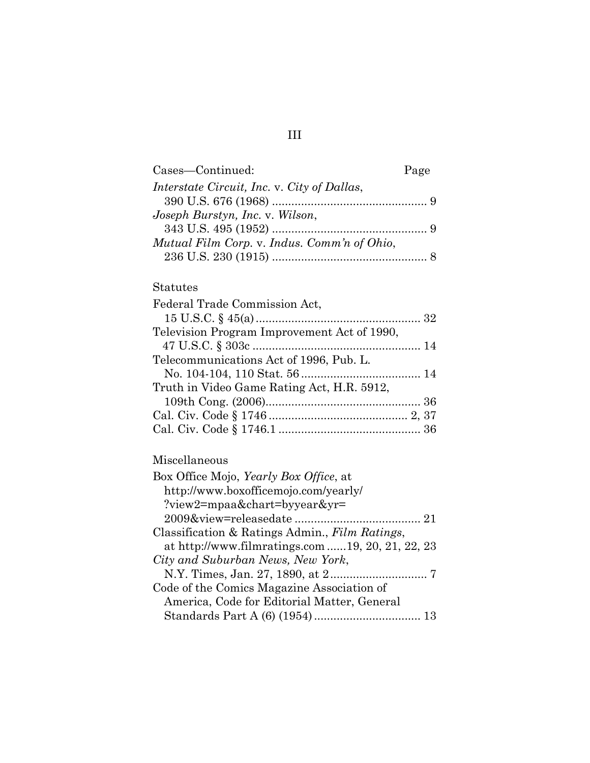| Cases-Continued:                            | Page |
|---------------------------------------------|------|
| Interstate Circuit, Inc. v. City of Dallas, |      |
|                                             |      |
| Joseph Burstyn, Inc. v. Wilson,             |      |
|                                             |      |
| Mutual Film Corp. v. Indus. Comm'n of Ohio, |      |
|                                             |      |

### Statutes

| Federal Trade Commission Act,               |  |
|---------------------------------------------|--|
|                                             |  |
| Television Program Improvement Act of 1990, |  |
|                                             |  |
| Telecommunications Act of 1996, Pub. L.     |  |
|                                             |  |
| Truth in Video Game Rating Act, H.R. 5912,  |  |
|                                             |  |
|                                             |  |
|                                             |  |

## Miscellaneous

| Box Office Mojo, <i>Yearly Box Office</i> , at   |
|--------------------------------------------------|
| http://www.boxofficemojo.com/yearly/             |
| ?view2=mpaa&chart=byyear&yr=                     |
|                                                  |
| Classification & Ratings Admin., Film Ratings,   |
| at http://www.filmratings.com 19, 20, 21, 22, 23 |
| City and Suburban News, New York,                |
|                                                  |
| Code of the Comics Magazine Association of       |
| America, Code for Editorial Matter, General      |
|                                                  |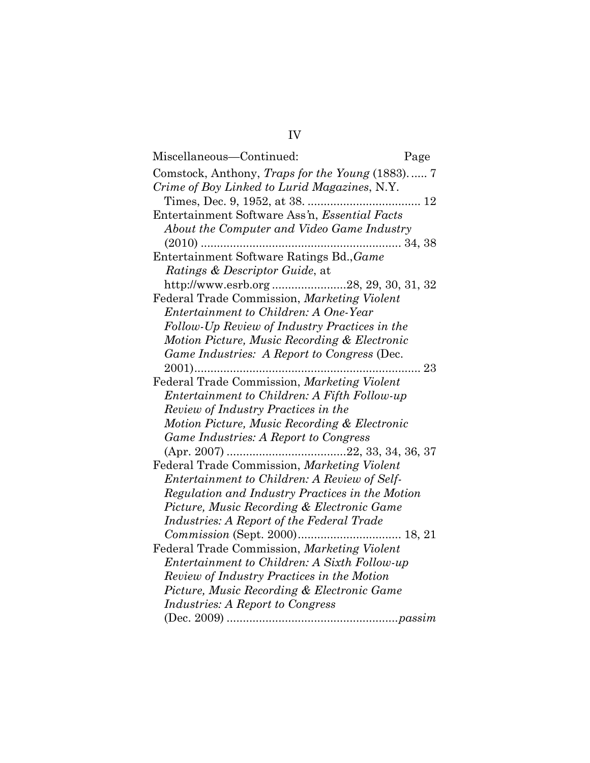| Miscellaneous-Continued:                               | Page |
|--------------------------------------------------------|------|
| Comstock, Anthony, <i>Traps for the Young</i> (1883) 7 |      |
| Crime of Boy Linked to Lurid Magazines, N.Y.           |      |
|                                                        |      |
| Entertainment Software Ass'n, Essential Facts          |      |
| About the Computer and Video Game Industry             |      |
|                                                        |      |
| Entertainment Software Ratings Bd., Game               |      |
| <i>Ratings &amp; Descriptor Guide, at</i>              |      |
|                                                        |      |
| Federal Trade Commission, Marketing Violent            |      |
| Entertainment to Children: A One-Year                  |      |
| Follow-Up Review of Industry Practices in the          |      |
| Motion Picture, Music Recording & Electronic           |      |
| Game Industries: A Report to Congress (Dec.            |      |
|                                                        |      |
| Federal Trade Commission, Marketing Violent            |      |
| Entertainment to Children: A Fifth Follow-up           |      |
| Review of Industry Practices in the                    |      |
| Motion Picture, Music Recording & Electronic           |      |
| Game Industries: A Report to Congress                  |      |
|                                                        |      |
| Federal Trade Commission, Marketing Violent            |      |
| Entertainment to Children: A Review of Self-           |      |
| Regulation and Industry Practices in the Motion        |      |
| Picture, Music Recording & Electronic Game             |      |
| Industries: A Report of the Federal Trade              |      |
|                                                        |      |
| Federal Trade Commission, Marketing Violent            |      |
| Entertainment to Children: A Sixth Follow-up           |      |
| Review of Industry Practices in the Motion             |      |
| Picture, Music Recording & Electronic Game             |      |
| <i>Industries: A Report to Congress</i>                |      |
|                                                        |      |

# IV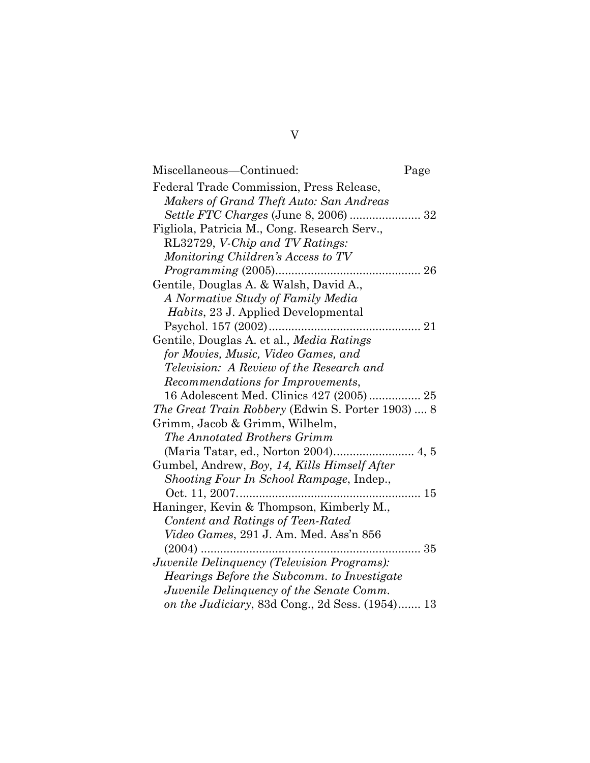| Miscellaneous—Continued:                          | Page |
|---------------------------------------------------|------|
| Federal Trade Commission, Press Release,          |      |
| Makers of Grand Theft Auto: San Andreas           |      |
| Settle FTC Charges (June 8, 2006)  32             |      |
| Figliola, Patricia M., Cong. Research Serv.,      |      |
| RL32729, V-Chip and TV Ratings:                   |      |
| Monitoring Children's Access to TV                |      |
|                                                   |      |
| Gentile, Douglas A. & Walsh, David A.,            |      |
| A Normative Study of Family Media                 |      |
| Habits, 23 J. Applied Developmental               |      |
|                                                   |      |
| Gentile, Douglas A. et al., Media Ratings         |      |
| for Movies, Music, Video Games, and               |      |
| <i>Television: A Review of the Research and</i>   |      |
| Recommendations for Improvements,                 |      |
| 16 Adolescent Med. Clinics 427 (2005) 25          |      |
| The Great Train Robbery (Edwin S. Porter 1903)  8 |      |
| Grimm, Jacob & Grimm, Wilhelm,                    |      |
| The Annotated Brothers Grimm                      |      |
|                                                   |      |
| Gumbel, Andrew, Boy, 14, Kills Himself After      |      |
| Shooting Four In School Rampage, Indep.,          |      |
|                                                   | 15   |
| Haninger, Kevin & Thompson, Kimberly M.,          |      |
| Content and Ratings of Teen-Rated                 |      |
| Video Games, 291 J. Am. Med. Ass'n 856            |      |
|                                                   | . 35 |
| Juvenile Delinquency (Television Programs):       |      |
| Hearings Before the Subcomm. to Investigate       |      |
| Juvenile Delinguency of the Senate Comm.          |      |
| on the Judiciary, 83d Cong., 2d Sess. (1954) 13   |      |

# V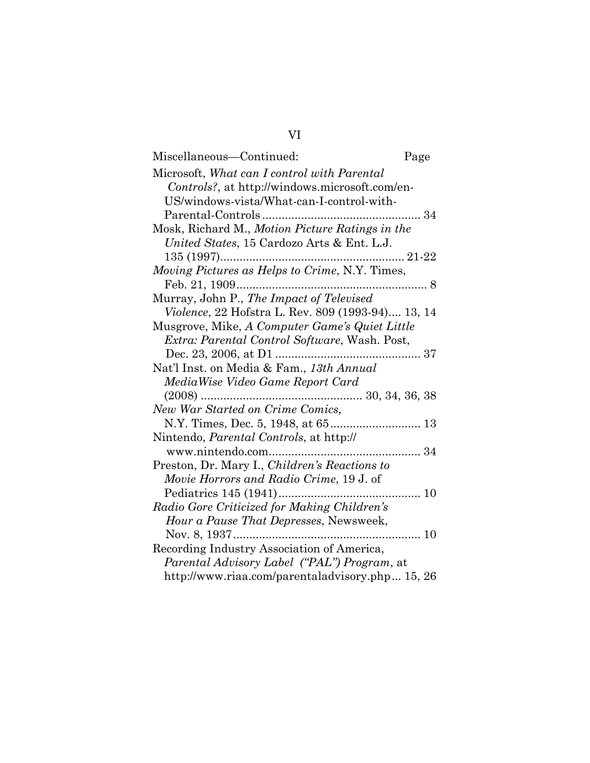# VI

| Miscellaneous-Continued:                           | Page |
|----------------------------------------------------|------|
| Microsoft, What can I control with Parental        |      |
| Controls?, at http://windows.microsoft.com/en-     |      |
| US/windows-vista/What-can-I-control-with-          |      |
|                                                    |      |
| Mosk, Richard M., Motion Picture Ratings in the    |      |
| United States, 15 Cardozo Arts & Ent. L.J.         |      |
|                                                    |      |
| Moving Pictures as Helps to Crime, N.Y. Times,     |      |
|                                                    | . 8  |
| Murray, John P., The Impact of Televised           |      |
| Violence, 22 Hofstra L. Rev. 809 (1993-94) 13, 14  |      |
| Musgrove, Mike, A Computer Game's Quiet Little     |      |
| Extra: Parental Control Software, Wash. Post,      |      |
|                                                    |      |
| Nat'l Inst. on Media & Fam., 13th Annual           |      |
| MediaWise Video Game Report Card                   |      |
|                                                    |      |
| New War Started on Crime Comics,                   |      |
|                                                    |      |
| Nintendo, <i>Parental Controls</i> , at http://    |      |
|                                                    |      |
| Preston, Dr. Mary I., Children's Reactions to      |      |
| Movie Horrors and Radio Crime, 19 J. of            |      |
|                                                    |      |
| Radio Gore Criticized for Making Children's        |      |
| Hour a Pause That Depresses, Newsweek,             |      |
| Nov. 8, 1937                                       | 10   |
| Recording Industry Association of America,         |      |
| <i>Parental Advisory Label ("PAL") Program, at</i> |      |
| http://www.riaa.com/parentaladvisory.php 15, 26    |      |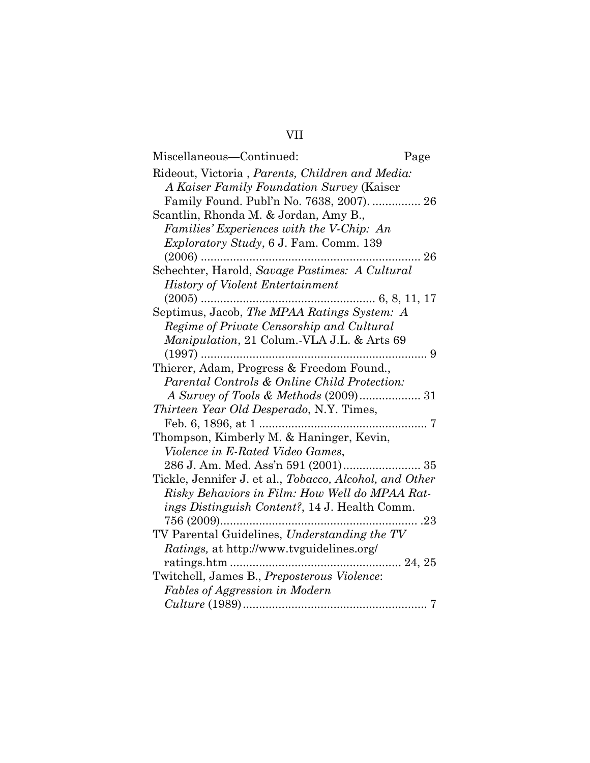## VII

| Miscellaneous-Continued:                                | Page |
|---------------------------------------------------------|------|
| Rideout, Victoria, Parents, Children and Media:         |      |
| A Kaiser Family Foundation Survey (Kaiser               |      |
| Family Found. Publ'n No. 7638, 2007).  26               |      |
| Scantlin, Rhonda M. & Jordan, Amy B.,                   |      |
| Families' Experiences with the V-Chip: An               |      |
| <i>Exploratory Study</i> , 6 J. Fam. Comm. 139          |      |
| $(2006)$                                                | .26  |
| Schechter, Harold, Savage Pastimes: A Cultural          |      |
| <b>History of Violent Entertainment</b>                 |      |
|                                                         |      |
| Septimus, Jacob, The MPAA Ratings System: A             |      |
| Regime of Private Censorship and Cultural               |      |
| Manipulation, 21 Colum. VLA J.L. & Arts 69              |      |
|                                                         | . 9  |
| Thierer, Adam, Progress & Freedom Found.,               |      |
| Parental Controls & Online Child Protection:            |      |
|                                                         |      |
| Thirteen Year Old Desperado, N.Y. Times,                |      |
|                                                         |      |
| Thompson, Kimberly M. & Haninger, Kevin,                |      |
| Violence in E-Rated Video Games,                        |      |
| 286 J. Am. Med. Ass'n 591 (2001) 35                     |      |
| Tickle, Jennifer J. et al., Tobacco, Alcohol, and Other |      |
| Risky Behaviors in Film: How Well do MPAA Rat-          |      |
| ings Distinguish Content?, 14 J. Health Comm.           |      |
|                                                         |      |
| TV Parental Guidelines, Understanding the TV            |      |
| <i>Ratings</i> , at http://www.tvguidelines.org/        |      |
|                                                         |      |
| Twitchell, James B., Preposterous Violence:             |      |
| Fables of Aggression in Modern                          |      |
|                                                         | 7    |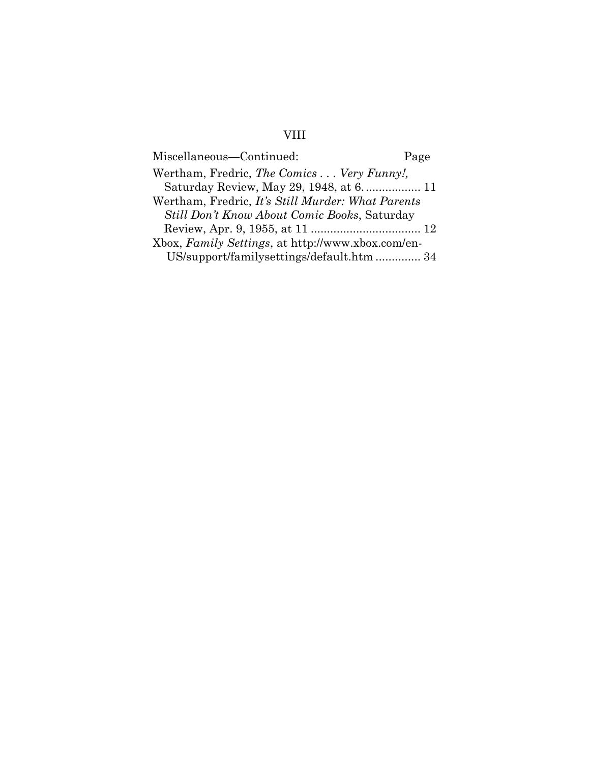# VIII

| Miscellaneous-Continued:                            | Page |
|-----------------------------------------------------|------|
| Wertham, Fredric, The Comics Very Funny!,           |      |
| Saturday Review, May 29, 1948, at 6 11              |      |
| Wertham, Fredric, It's Still Murder: What Parents   |      |
| <i>Still Don't Know About Comic Books, Saturday</i> |      |
|                                                     |      |
| Xbox, Family Settings, at http://www.xbox.com/en-   |      |
| US/support/familysettings/default.htm  34           |      |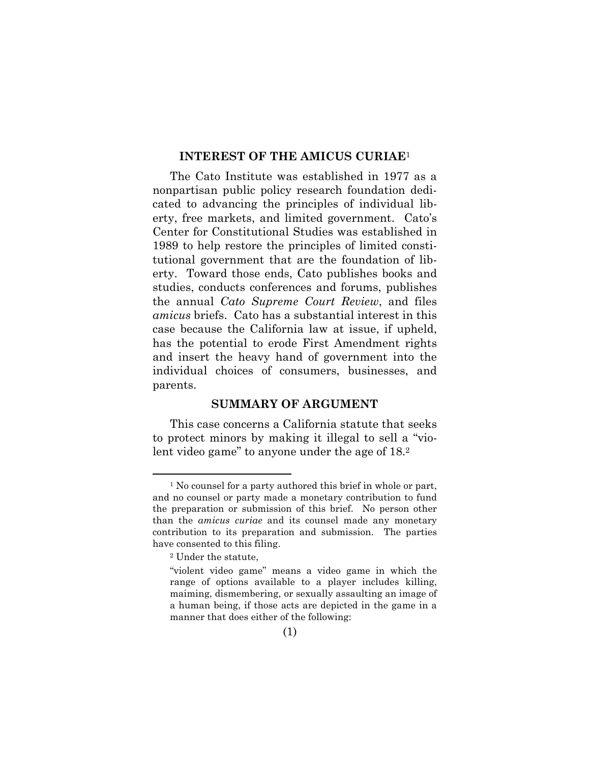#### **INTEREST OF THE AMICUS CURIAE**<sup>1</sup>

The Cato Institute was established in 1977 as a nonpartisan public policy research foundation dedicated to advancing the principles of individual liberty, free markets, and limited government. Cato's Center for Constitutional Studies was established in 1989 to help restore the principles of limited constitutional government that are the foundation of liberty. Toward those ends, Cato publishes books and studies, conducts conferences and forums, publishes the annual *Cato Supreme Court Review*, and files *amicus* briefs. Cato has a substantial interest in this case because the California law at issue, if upheld, has the potential to erode First Amendment rights and insert the heavy hand of government into the individual choices of consumers, businesses, and parents.

#### **SUMMARY OF ARGUMENT**

This case concerns a California statute that seeks to protect minors by making it illegal to sell a "violent video game" to anyone under the age of 18.<sup>2</sup>

<sup>&</sup>lt;sup>1</sup> No counsel for a party authored this brief in whole or part, and no counsel or party made a monetary contribution to fund the preparation or submission of this brief. No person other than the *amicus curiae* and its counsel made any monetary contribution to its preparation and submission. The parties have consented to this filing.

<sup>2</sup> Under the statute,

<sup>&</sup>quot;violent video game" means a video game in which the range of options available to a player includes killing, maiming, dismembering, or sexually assaulting an image of a human being, if those acts are depicted in the game in a manner that does either of the following: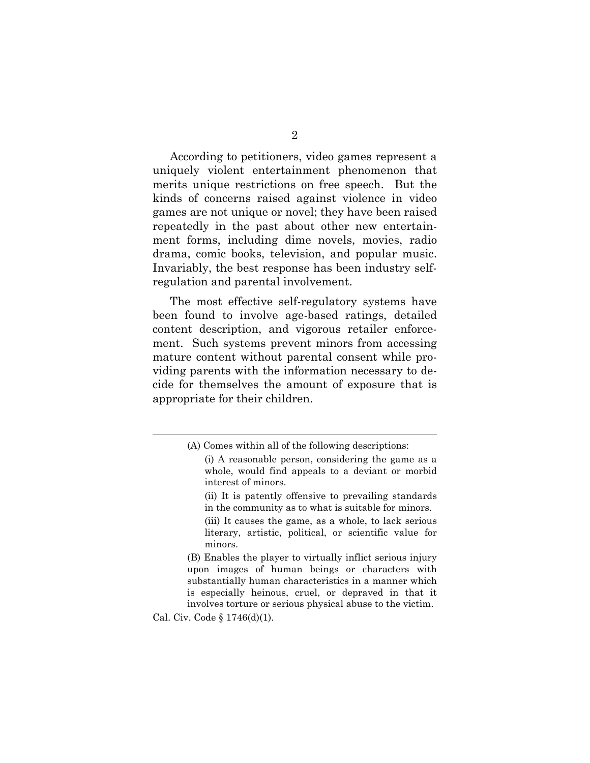According to petitioners, video games represent a uniquely violent entertainment phenomenon that merits unique restrictions on free speech. But the kinds of concerns raised against violence in video games are not unique or novel; they have been raised repeatedly in the past about other new entertainment forms, including dime novels, movies, radio drama, comic books, television, and popular music. Invariably, the best response has been industry selfregulation and parental involvement.

The most effective self-regulatory systems have been found to involve age-based ratings, detailed content description, and vigorous retailer enforcement. Such systems prevent minors from accessing mature content without parental consent while providing parents with the information necessary to decide for themselves the amount of exposure that is appropriate for their children.

(B) Enables the player to virtually inflict serious injury upon images of human beings or characters with substantially human characteristics in a manner which is especially heinous, cruel, or depraved in that it involves torture or serious physical abuse to the victim.

Cal. Civ. Code § 1746(d)(1).

<sup>(</sup>A) Comes within all of the following descriptions:

<sup>(</sup>i) A reasonable person, considering the game as a whole, would find appeals to a deviant or morbid interest of minors.

<sup>(</sup>ii) It is patently offensive to prevailing standards in the community as to what is suitable for minors.

<sup>(</sup>iii) It causes the game, as a whole, to lack serious literary, artistic, political, or scientific value for minors.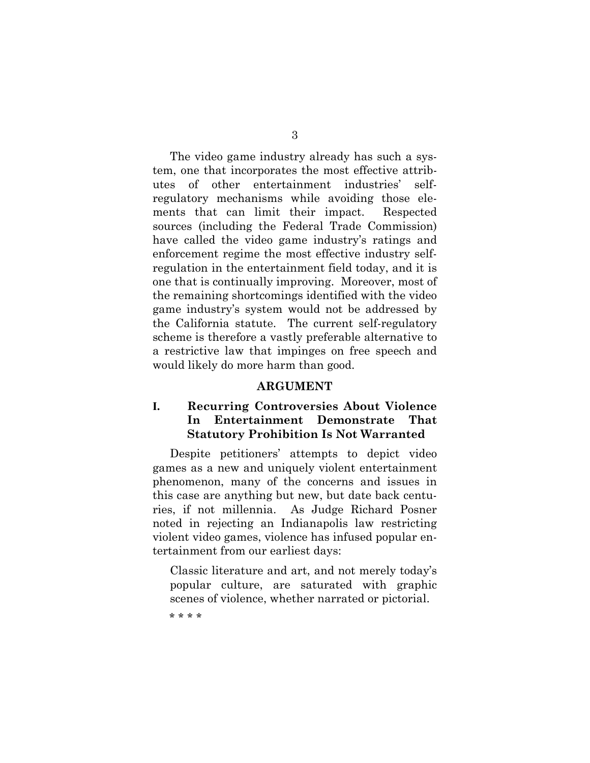The video game industry already has such a system, one that incorporates the most effective attributes of other entertainment industries' selfregulatory mechanisms while avoiding those elements that can limit their impact. Respected sources (including the Federal Trade Commission) have called the video game industry's ratings and enforcement regime the most effective industry selfregulation in the entertainment field today, and it is one that is continually improving. Moreover, most of the remaining shortcomings identified with the video game industry's system would not be addressed by the California statute. The current self-regulatory scheme is therefore a vastly preferable alternative to a restrictive law that impinges on free speech and would likely do more harm than good.

#### **ARGUMENT**

#### **I. Recurring Controversies About Violence In Entertainment Demonstrate That Statutory Prohibition Is Not Warranted**

Despite petitioners' attempts to depict video games as a new and uniquely violent entertainment phenomenon, many of the concerns and issues in this case are anything but new, but date back centuries, if not millennia. As Judge Richard Posner noted in rejecting an Indianapolis law restricting violent video games, violence has infused popular entertainment from our earliest days:

Classic literature and art, and not merely today's popular culture, are saturated with graphic scenes of violence, whether narrated or pictorial.

\* \* \* \*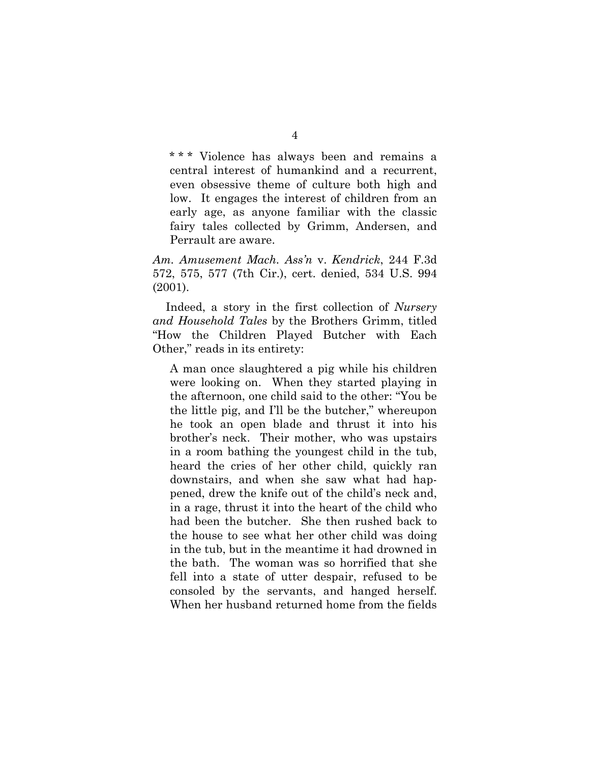\*\*\* Violence has always been and remains a central interest of humankind and a recurrent, even obsessive theme of culture both high and low. It engages the interest of children from an early age, as anyone familiar with the classic fairy tales collected by Grimm, Andersen, and Perrault are aware.

*Am. Amusement Mach. Ass'n* v. *Kendrick*, 244 F.3d 572, 575, 577 (7th Cir.), cert. denied, 534 U.S. 994 (2001).

Indeed, a story in the first collection of *Nursery and Household Tales* by the Brothers Grimm, titled "How the Children Played Butcher with Each Other," reads in its entirety:

A man once slaughtered a pig while his children were looking on. When they started playing in the afternoon, one child said to the other: "You be the little pig, and I'll be the butcher," whereupon he took an open blade and thrust it into his brother's neck. Their mother, who was upstairs in a room bathing the youngest child in the tub, heard the cries of her other child, quickly ran downstairs, and when she saw what had happened, drew the knife out of the child's neck and, in a rage, thrust it into the heart of the child who had been the butcher. She then rushed back to the house to see what her other child was doing in the tub, but in the meantime it had drowned in the bath. The woman was so horrified that she fell into a state of utter despair, refused to be consoled by the servants, and hanged herself. When her husband returned home from the fields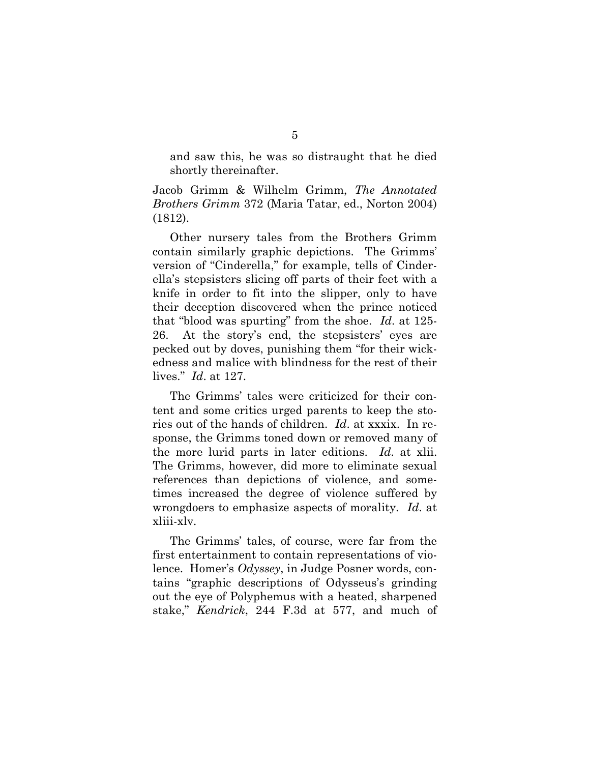and saw this, he was so distraught that he died shortly thereinafter.

Jacob Grimm & Wilhelm Grimm, *The Annotated Brothers Grimm* 372 (Maria Tatar, ed., Norton 2004) (1812).

Other nursery tales from the Brothers Grimm contain similarly graphic depictions. The Grimms' version of "Cinderella," for example, tells of Cinderella's stepsisters slicing off parts of their feet with a knife in order to fit into the slipper, only to have their deception discovered when the prince noticed that "blood was spurting" from the shoe. *Id*. at 125- 26. At the story's end, the stepsisters' eyes are pecked out by doves, punishing them "for their wickedness and malice with blindness for the rest of their lives." *Id*. at 127.

The Grimms' tales were criticized for their content and some critics urged parents to keep the stories out of the hands of children. *Id*. at xxxix. In response, the Grimms toned down or removed many of the more lurid parts in later editions. *Id*. at xlii. The Grimms, however, did more to eliminate sexual references than depictions of violence, and sometimes increased the degree of violence suffered by wrongdoers to emphasize aspects of morality. *Id*. at xliii-xlv.

The Grimms' tales, of course, were far from the first entertainment to contain representations of violence. Homer's *Odyssey*, in Judge Posner words, contains "graphic descriptions of Odysseus's grinding out the eye of Polyphemus with a heated, sharpened stake," *Kendrick*, 244 F.3d at 577, and much of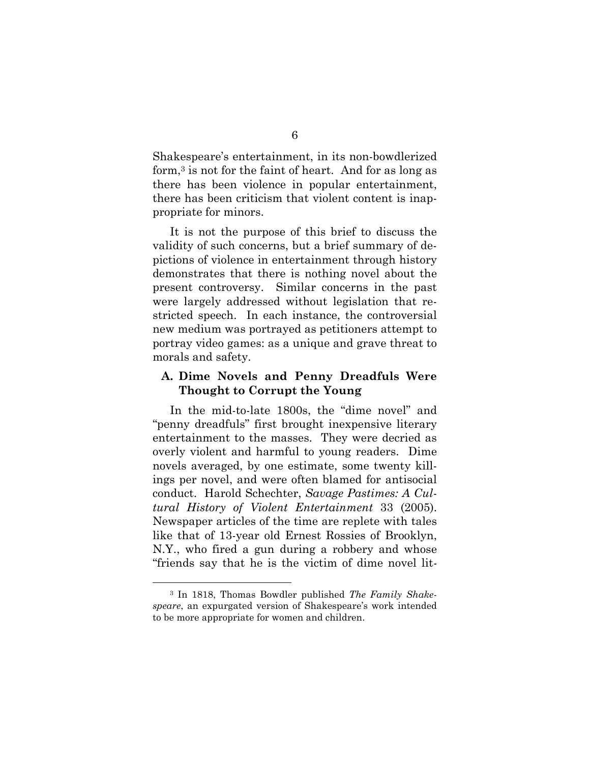Shakespeare's entertainment, in its non-bowdlerized form,3 is not for the faint of heart. And for as long as there has been violence in popular entertainment, there has been criticism that violent content is inappropriate for minors.

It is not the purpose of this brief to discuss the validity of such concerns, but a brief summary of depictions of violence in entertainment through history demonstrates that there is nothing novel about the present controversy. Similar concerns in the past were largely addressed without legislation that restricted speech. In each instance, the controversial new medium was portrayed as petitioners attempt to portray video games: as a unique and grave threat to morals and safety.

#### **A. Dime Novels and Penny Dreadfuls Were Thought to Corrupt the Young**

In the mid-to-late 1800s, the "dime novel" and "penny dreadfuls" first brought inexpensive literary entertainment to the masses. They were decried as overly violent and harmful to young readers. Dime novels averaged, by one estimate, some twenty killings per novel, and were often blamed for antisocial conduct. Harold Schechter, *Savage Pastimes: A Cultural History of Violent Entertainment* 33 (2005). Newspaper articles of the time are replete with tales like that of 13-year old Ernest Rossies of Brooklyn, N.Y., who fired a gun during a robbery and whose "friends say that he is the victim of dime novel lit-

<sup>3</sup> In 1818, Thomas Bowdler published *The Family Shakespeare*, an expurgated version of Shakespeare's work intended to be more appropriate for women and children.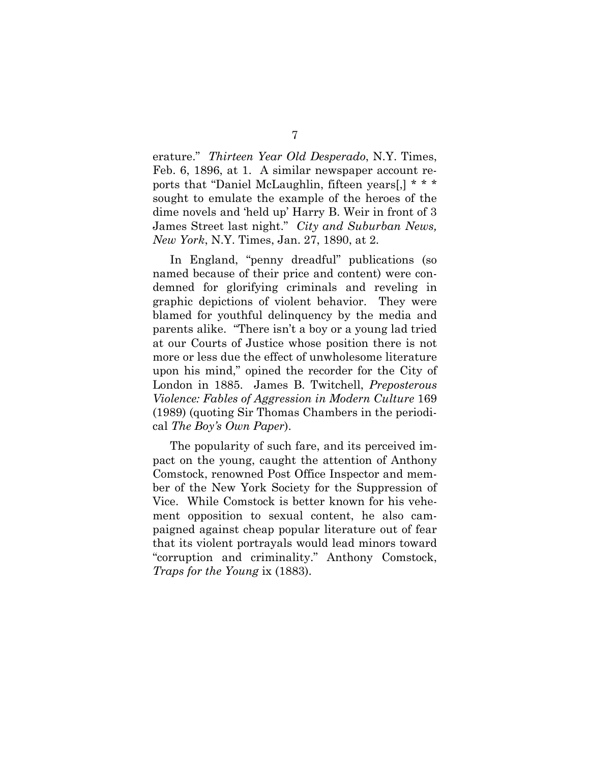erature." *Thirteen Year Old Desperado*, N.Y. Times, Feb. 6, 1896, at 1. A similar newspaper account reports that "Daniel McLaughlin, fifteen years[,] \* \* \* sought to emulate the example of the heroes of the dime novels and 'held up' Harry B. Weir in front of 3 James Street last night." *City and Suburban News, New York*, N.Y. Times, Jan. 27, 1890, at 2.

In England, "penny dreadful" publications (so named because of their price and content) were condemned for glorifying criminals and reveling in graphic depictions of violent behavior. They were blamed for youthful delinquency by the media and parents alike. "There isn't a boy or a young lad tried at our Courts of Justice whose position there is not more or less due the effect of unwholesome literature upon his mind," opined the recorder for the City of London in 1885. James B. Twitchell, *Preposterous Violence: Fables of Aggression in Modern Culture* 169 (1989) (quoting Sir Thomas Chambers in the periodical *The Boy's Own Paper*).

The popularity of such fare, and its perceived impact on the young, caught the attention of Anthony Comstock, renowned Post Office Inspector and member of the New York Society for the Suppression of Vice. While Comstock is better known for his vehement opposition to sexual content, he also campaigned against cheap popular literature out of fear that its violent portrayals would lead minors toward "corruption and criminality." Anthony Comstock, *Traps for the Young* ix (1883).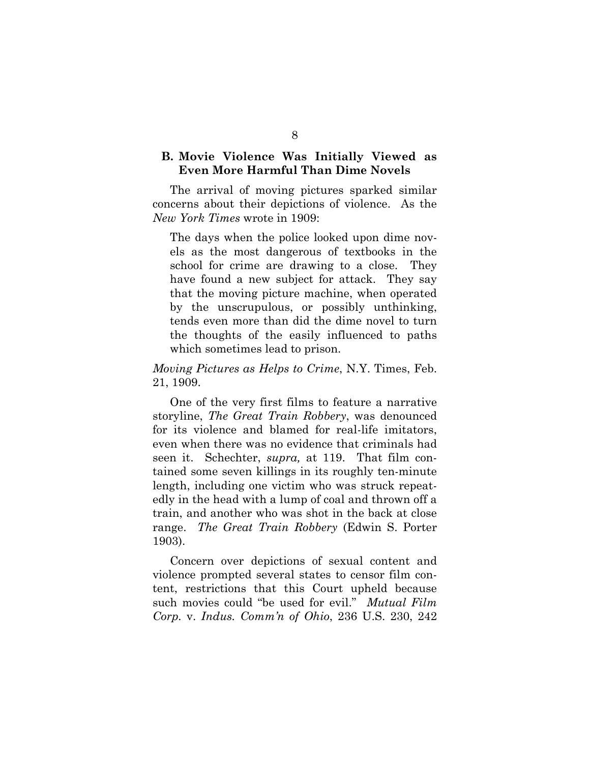#### **B. Movie Violence Was Initially Viewed as Even More Harmful Than Dime Novels**

The arrival of moving pictures sparked similar concerns about their depictions of violence. As the *New York Times* wrote in 1909:

The days when the police looked upon dime novels as the most dangerous of textbooks in the school for crime are drawing to a close. They have found a new subject for attack. They say that the moving picture machine, when operated by the unscrupulous, or possibly unthinking, tends even more than did the dime novel to turn the thoughts of the easily influenced to paths which sometimes lead to prison.

#### *Moving Pictures as Helps to Crime*, N.Y. Times, Feb. 21, 1909.

One of the very first films to feature a narrative storyline, *The Great Train Robbery*, was denounced for its violence and blamed for real-life imitators, even when there was no evidence that criminals had seen it. Schechter, *supra,* at 119. That film contained some seven killings in its roughly ten-minute length, including one victim who was struck repeatedly in the head with a lump of coal and thrown off a train, and another who was shot in the back at close range. *The Great Train Robbery* (Edwin S. Porter 1903).

Concern over depictions of sexual content and violence prompted several states to censor film content, restrictions that this Court upheld because such movies could "be used for evil." *Mutual Film Corp.* v. *Indus. Comm'n of Ohio*, 236 U.S. 230, 242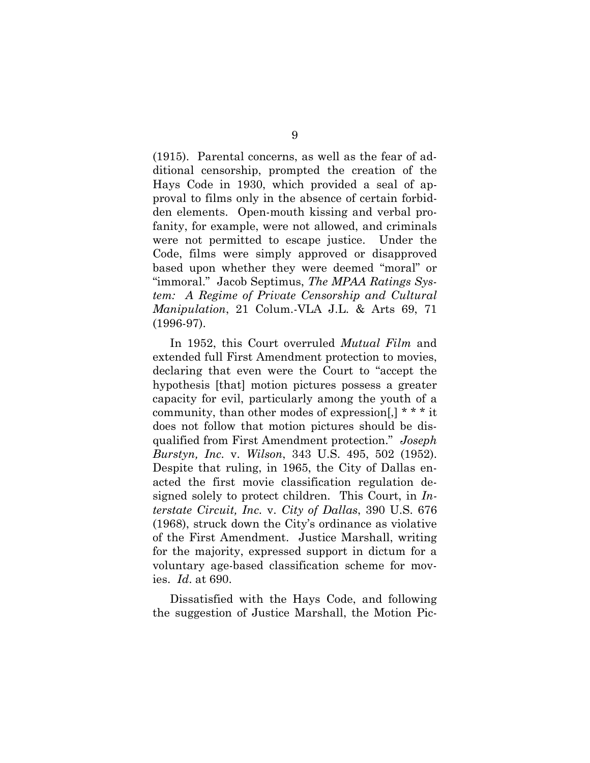(1915). Parental concerns, as well as the fear of additional censorship, prompted the creation of the Hays Code in 1930, which provided a seal of approval to films only in the absence of certain forbidden elements. Open-mouth kissing and verbal profanity, for example, were not allowed, and criminals were not permitted to escape justice. Under the Code, films were simply approved or disapproved based upon whether they were deemed "moral" or "immoral." Jacob Septimus, *The MPAA Ratings System: A Regime of Private Censorship and Cultural Manipulation*, 21 Colum.-VLA J.L. & Arts 69, 71 (1996-97).

In 1952, this Court overruled *Mutual Film* and extended full First Amendment protection to movies, declaring that even were the Court to "accept the hypothesis [that] motion pictures possess a greater capacity for evil, particularly among the youth of a community, than other modes of expression[,] \* \* \* it does not follow that motion pictures should be disqualified from First Amendment protection." *Joseph Burstyn, Inc.* v. *Wilson*, 343 U.S. 495, 502 (1952). Despite that ruling, in 1965, the City of Dallas enacted the first movie classification regulation designed solely to protect children. This Court, in *Interstate Circuit, Inc.* v. *City of Dallas*, 390 U.S. 676 (1968), struck down the City's ordinance as violative of the First Amendment. Justice Marshall, writing for the majority, expressed support in dictum for a voluntary age-based classification scheme for movies. *Id*. at 690.

Dissatisfied with the Hays Code, and following the suggestion of Justice Marshall, the Motion Pic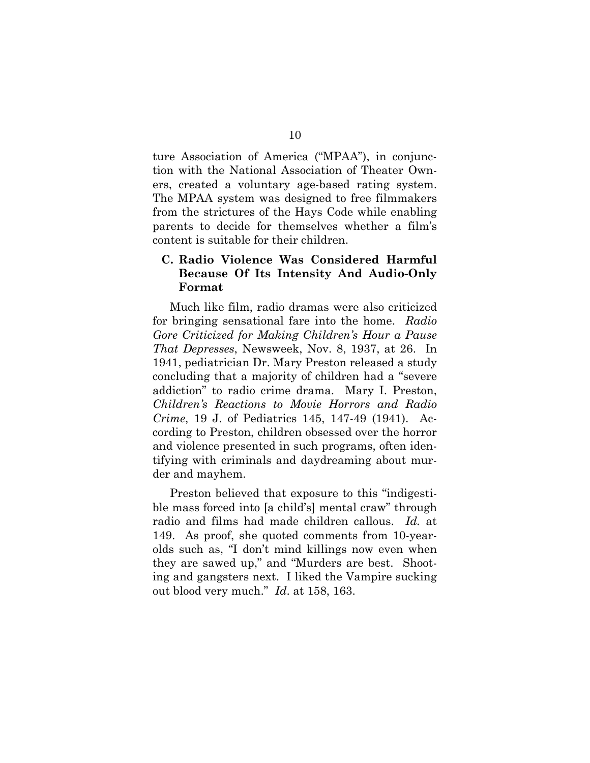ture Association of America ("MPAA"), in conjunction with the National Association of Theater Owners, created a voluntary age-based rating system. The MPAA system was designed to free filmmakers from the strictures of the Hays Code while enabling parents to decide for themselves whether a film's content is suitable for their children.

#### **C. Radio Violence Was Considered Harmful Because Of Its Intensity And Audio-Only Format**

Much like film, radio dramas were also criticized for bringing sensational fare into the home. *Radio Gore Criticized for Making Children's Hour a Pause That Depresses*, Newsweek, Nov. 8, 1937, at 26. In 1941, pediatrician Dr. Mary Preston released a study concluding that a majority of children had a "severe addiction" to radio crime drama. Mary I. Preston, *Children's Reactions to Movie Horrors and Radio Crime*, 19 J. of Pediatrics 145, 147-49 (1941). According to Preston, children obsessed over the horror and violence presented in such programs, often identifying with criminals and daydreaming about murder and mayhem.

Preston believed that exposure to this "indigestible mass forced into [a child's] mental craw" through radio and films had made children callous. *Id.* at 149. As proof, she quoted comments from 10-yearolds such as, "I don't mind killings now even when they are sawed up," and "Murders are best. Shooting and gangsters next. I liked the Vampire sucking out blood very much." *Id*. at 158, 163.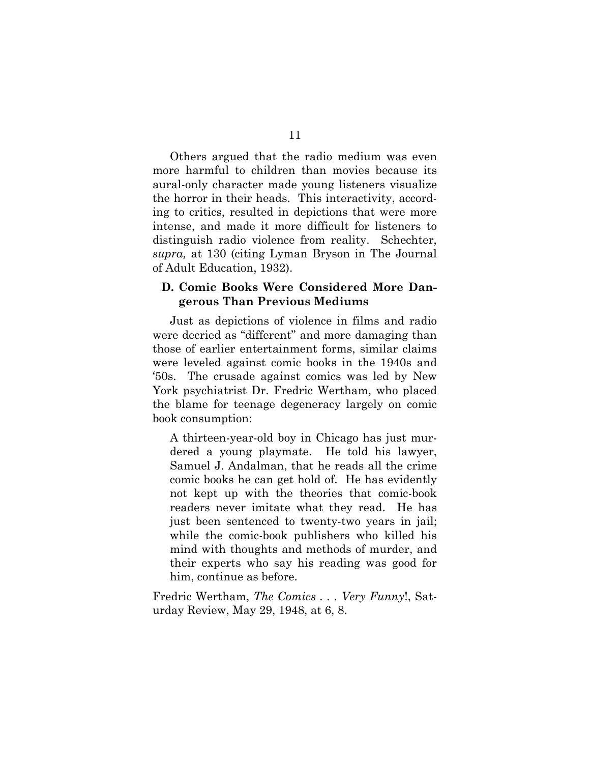Others argued that the radio medium was even more harmful to children than movies because its aural-only character made young listeners visualize the horror in their heads. This interactivity, according to critics, resulted in depictions that were more intense, and made it more difficult for listeners to distinguish radio violence from reality. Schechter, *supra,* at 130 (citing Lyman Bryson in The Journal of Adult Education, 1932).

#### **D. Comic Books Were Considered More Dangerous Than Previous Mediums**

Just as depictions of violence in films and radio were decried as "different" and more damaging than those of earlier entertainment forms, similar claims were leveled against comic books in the 1940s and '50s. The crusade against comics was led by New York psychiatrist Dr. Fredric Wertham, who placed the blame for teenage degeneracy largely on comic book consumption:

A thirteen-year-old boy in Chicago has just murdered a young playmate. He told his lawyer, Samuel J. Andalman, that he reads all the crime comic books he can get hold of. He has evidently not kept up with the theories that comic-book readers never imitate what they read. He has just been sentenced to twenty-two years in jail; while the comic-book publishers who killed his mind with thoughts and methods of murder, and their experts who say his reading was good for him, continue as before.

Fredric Wertham, *The Comics . . . Very Funny*!, Saturday Review, May 29, 1948, at 6, 8.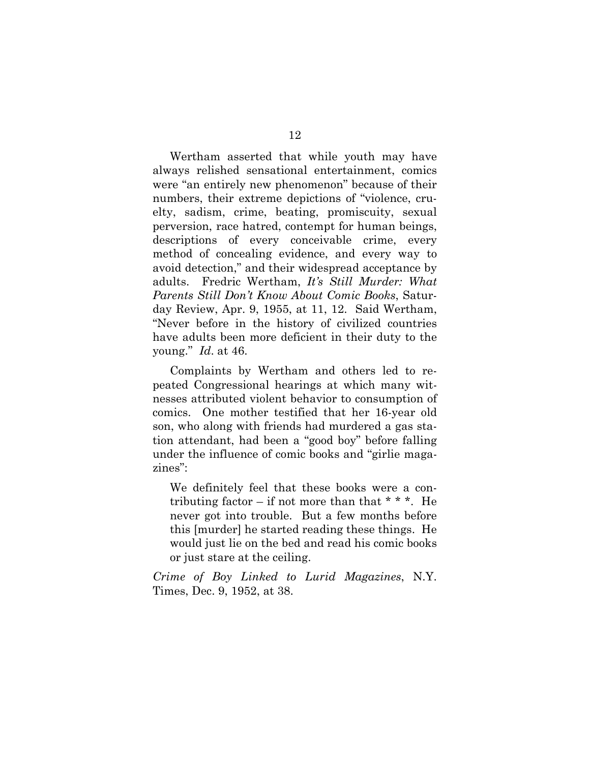Wertham asserted that while youth may have always relished sensational entertainment, comics were "an entirely new phenomenon" because of their numbers, their extreme depictions of "violence, cruelty, sadism, crime, beating, promiscuity, sexual perversion, race hatred, contempt for human beings, descriptions of every conceivable crime, every method of concealing evidence, and every way to avoid detection," and their widespread acceptance by adults. Fredric Wertham, *It's Still Murder: What Parents Still Don't Know About Comic Books*, Saturday Review, Apr. 9, 1955, at 11, 12. Said Wertham, "Never before in the history of civilized countries have adults been more deficient in their duty to the young." *Id*. at 46.

Complaints by Wertham and others led to repeated Congressional hearings at which many witnesses attributed violent behavior to consumption of comics. One mother testified that her 16-year old son, who along with friends had murdered a gas station attendant, had been a "good boy" before falling under the influence of comic books and "girlie magazines":

We definitely feel that these books were a contributing factor – if not more than that  $* * *$ . He never got into trouble. But a few months before this [murder] he started reading these things. He would just lie on the bed and read his comic books or just stare at the ceiling.

*Crime of Boy Linked to Lurid Magazines*, N.Y. Times, Dec. 9, 1952, at 38.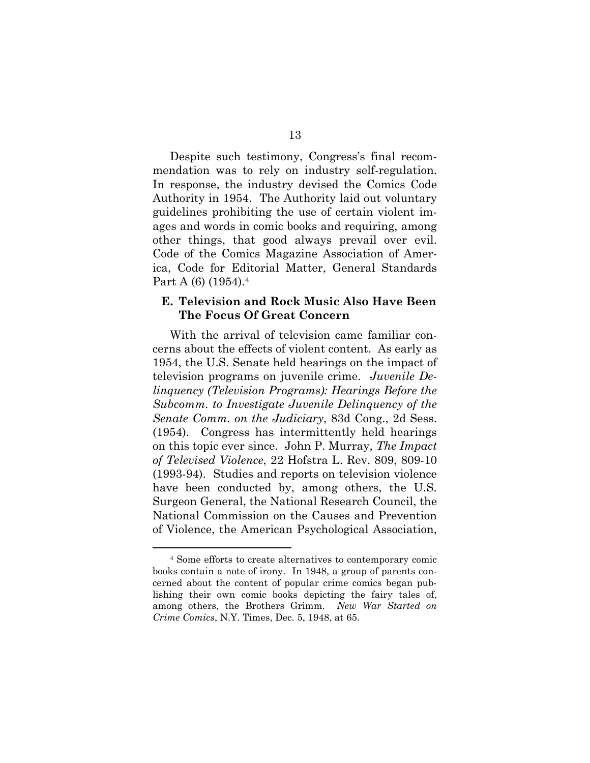Despite such testimony, Congress's final recommendation was to rely on industry self-regulation. In response, the industry devised the Comics Code Authority in 1954. The Authority laid out voluntary guidelines prohibiting the use of certain violent images and words in comic books and requiring, among other things, that good always prevail over evil. Code of the Comics Magazine Association of America, Code for Editorial Matter, General Standards Part A (6) (1954).<sup>4</sup>

#### **E. Television and Rock Music Also Have Been The Focus Of Great Concern**

With the arrival of television came familiar concerns about the effects of violent content. As early as 1954, the U.S. Senate held hearings on the impact of television programs on juvenile crime. *Juvenile Delinquency (Television Programs): Hearings Before the Subcomm. to Investigate Juvenile Delinquency of the Senate Comm. on the Judiciary*, 83d Cong., 2d Sess. (1954). Congress has intermittently held hearings on this topic ever since. John P. Murray, *The Impact of Televised Violence*, 22 Hofstra L. Rev. 809, 809-10 (1993-94). Studies and reports on television violence have been conducted by, among others, the U.S. Surgeon General, the National Research Council, the National Commission on the Causes and Prevention of Violence, the American Psychological Association,

<sup>4</sup> Some efforts to create alternatives to contemporary comic books contain a note of irony. In 1948, a group of parents concerned about the content of popular crime comics began publishing their own comic books depicting the fairy tales of, among others, the Brothers Grimm. *New War Started on Crime Comics*, N.Y. Times, Dec. 5, 1948, at 65.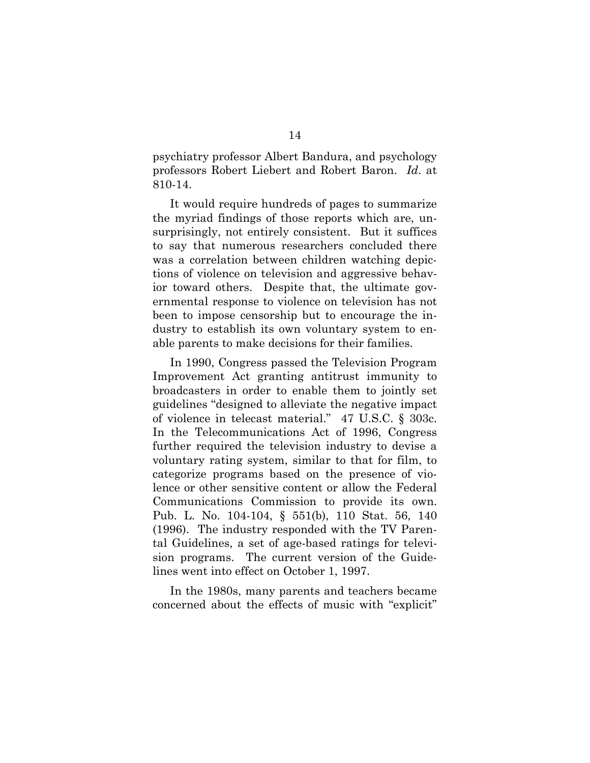psychiatry professor Albert Bandura, and psychology professors Robert Liebert and Robert Baron. *Id*. at 810-14.

It would require hundreds of pages to summarize the myriad findings of those reports which are, unsurprisingly, not entirely consistent. But it suffices to say that numerous researchers concluded there was a correlation between children watching depictions of violence on television and aggressive behavior toward others. Despite that, the ultimate governmental response to violence on television has not been to impose censorship but to encourage the industry to establish its own voluntary system to enable parents to make decisions for their families.

In 1990, Congress passed the Television Program Improvement Act granting antitrust immunity to broadcasters in order to enable them to jointly set guidelines "designed to alleviate the negative impact of violence in telecast material." 47 U.S.C. § 303c. In the Telecommunications Act of 1996, Congress further required the television industry to devise a voluntary rating system, similar to that for film, to categorize programs based on the presence of violence or other sensitive content or allow the Federal Communications Commission to provide its own. Pub. L. No. 104-104, § 551(b), 110 Stat. 56, 140 (1996). The industry responded with the TV Parental Guidelines, a set of age-based ratings for television programs. The current version of the Guidelines went into effect on October 1, 1997.

In the 1980s, many parents and teachers became concerned about the effects of music with "explicit"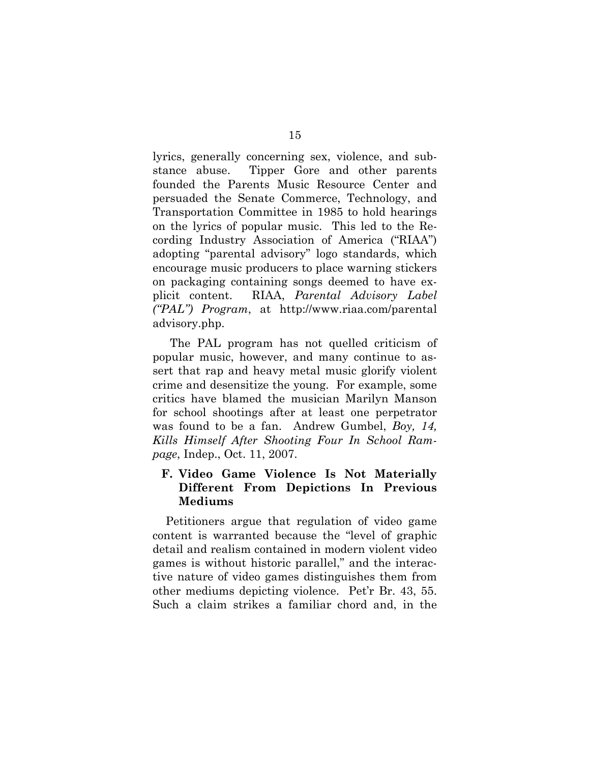lyrics, generally concerning sex, violence, and substance abuse. Tipper Gore and other parents founded the Parents Music Resource Center and persuaded the Senate Commerce, Technology, and Transportation Committee in 1985 to hold hearings on the lyrics of popular music. This led to the Recording Industry Association of America ("RIAA") adopting "parental advisory" logo standards, which encourage music producers to place warning stickers on packaging containing songs deemed to have explicit content. RIAA, *Parental Advisory Label ("PAL") Program*, at h[ttp://](http://)<www.ri>aa.com/parental advisory.php.

The PAL program has not quelled criticism of popular music, however, and many continue to assert that rap and heavy metal music glorify violent crime and desensitize the young. For example, some critics have blamed the musician Marilyn Manson for school shootings after at least one perpetrator was found to be a fan. Andrew Gumbel, *Boy, 14, Kills Himself After Shooting Four In School Rampage*, Indep., Oct. 11, 2007.

#### **F. Video Game Violence Is Not Materially Different From Depictions In Previous Mediums**

Petitioners argue that regulation of video game content is warranted because the "level of graphic detail and realism contained in modern violent video games is without historic parallel," and the interactive nature of video games distinguishes them from other mediums depicting violence. Pet'r Br. 43, 55. Such a claim strikes a familiar chord and, in the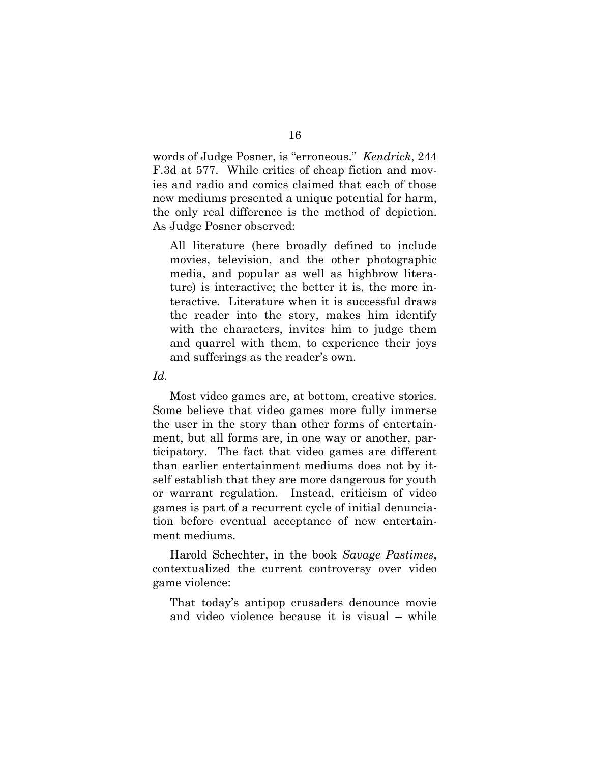words of Judge Posner, is "erroneous." *Kendrick*, 244 F.3d at 577. While critics of cheap fiction and movies and radio and comics claimed that each of those new mediums presented a unique potential for harm, the only real difference is the method of depiction. As Judge Posner observed:

All literature (here broadly defined to include movies, television, and the other photographic media, and popular as well as highbrow literature) is interactive; the better it is, the more interactive. Literature when it is successful draws the reader into the story, makes him identify with the characters, invites him to judge them and quarrel with them, to experience their joys and sufferings as the reader's own.

*Id.*

Most video games are, at bottom, creative stories. Some believe that video games more fully immerse the user in the story than other forms of entertainment, but all forms are, in one way or another, participatory. The fact that video games are different than earlier entertainment mediums does not by itself establish that they are more dangerous for youth or warrant regulation. Instead, criticism of video games is part of a recurrent cycle of initial denunciation before eventual acceptance of new entertainment mediums.

Harold Schechter, in the book *Savage Pastimes*, contextualized the current controversy over video game violence:

That today's antipop crusaders denounce movie and video violence because it is visual – while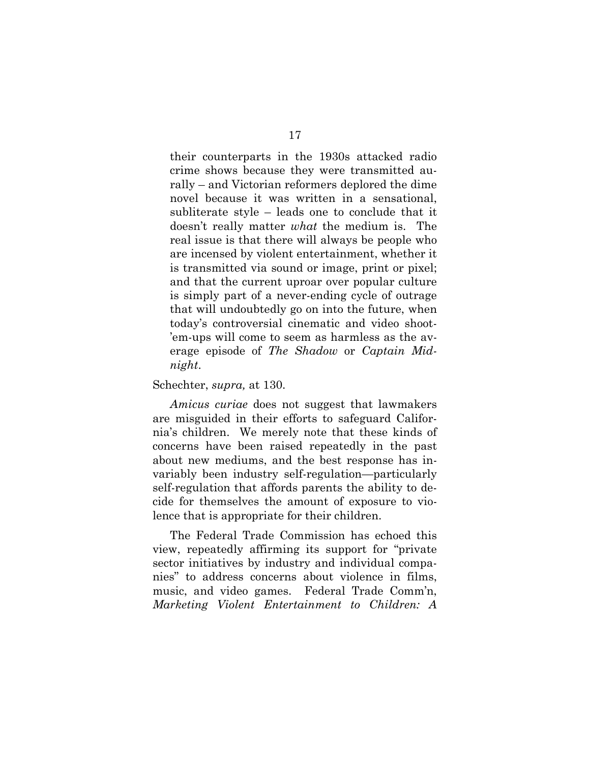their counterparts in the 1930s attacked radio crime shows because they were transmitted aurally – and Victorian reformers deplored the dime novel because it was written in a sensational, subliterate style – leads one to conclude that it doesn't really matter *what* the medium is. The real issue is that there will always be people who are incensed by violent entertainment, whether it is transmitted via sound or image, print or pixel; and that the current uproar over popular culture is simply part of a never-ending cycle of outrage that will undoubtedly go on into the future, when today's controversial cinematic and video shoot- 'em-ups will come to seem as harmless as the average episode of *The Shadow* or *Captain Midnight*.

#### Schechter, *supra,* at 130.

*Amicus curiae* does not suggest that lawmakers are misguided in their efforts to safeguard California's children. We merely note that these kinds of concerns have been raised repeatedly in the past about new mediums, and the best response has invariably been industry self-regulation—particularly self-regulation that affords parents the ability to decide for themselves the amount of exposure to violence that is appropriate for their children.

The Federal Trade Commission has echoed this view, repeatedly affirming its support for "private sector initiatives by industry and individual companies" to address concerns about violence in films, music, and video games. Federal Trade Comm'n, *Marketing Violent Entertainment to Children: A*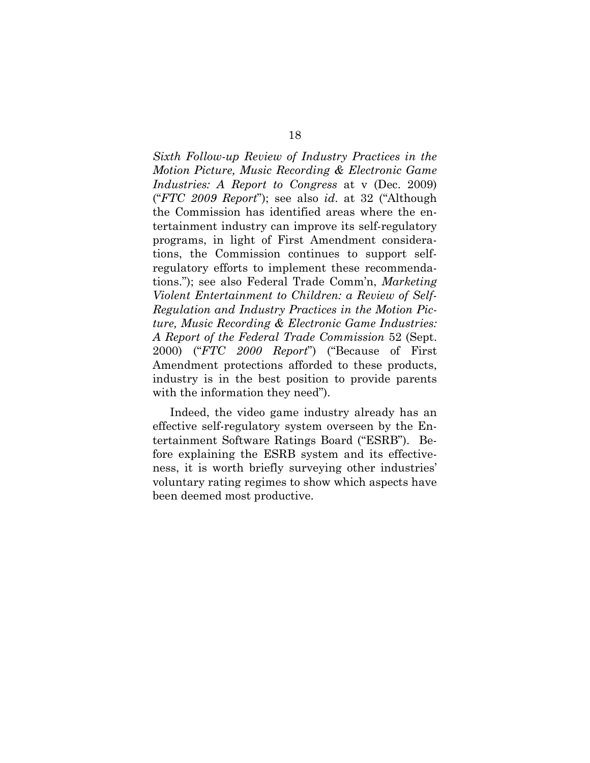*Sixth Follow-up Review of Industry Practices in the Motion Picture, Music Recording & Electronic Game Industries: A Report to Congress* at v (Dec. 2009) ("*FTC 2009 Report*"); see also *id*. at 32 ("Although the Commission has identified areas where the entertainment industry can improve its self-regulatory programs, in light of First Amendment considerations, the Commission continues to support selfregulatory efforts to implement these recommendations."); see also Federal Trade Comm'n, *Marketing Violent Entertainment to Children: a Review of Self-Regulation and Industry Practices in the Motion Picture, Music Recording & Electronic Game Industries: A Report of the Federal Trade Commission* 52 (Sept. 2000) ("*FTC 2000 Report*") ("Because of First Amendment protections afforded to these products, industry is in the best position to provide parents with the information they need").

Indeed, the video game industry already has an effective self-regulatory system overseen by the Entertainment Software Ratings Board ("ESRB"). Before explaining the ESRB system and its effectiveness, it is worth briefly surveying other industries' voluntary rating regimes to show which aspects have been deemed most productive.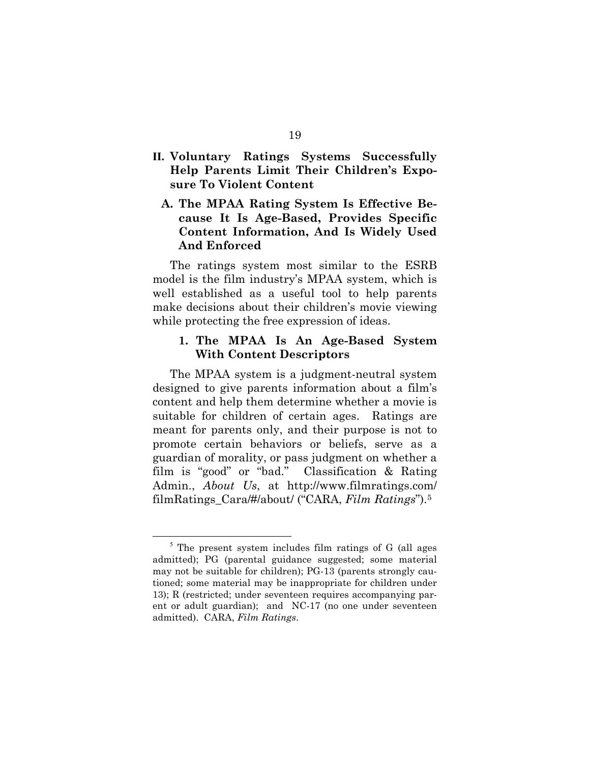- **II. Voluntary Ratings Systems Successfully Help Parents Limit Their Children's Exposure To Violent Content**
	- **A. The MPAA Rating System Is Effective Because It Is Age-Based, Provides Specific Content Information, And Is Widely Used And Enforced**

The ratings system most similar to the ESRB model is the film industry's MPAA system, which is well established as a useful tool to help parents make decisions about their children's movie viewing while protecting the free expression of ideas.

#### **1. The MPAA Is An Age-Based System With Content Descriptors**

The MPAA system is a judgment-neutral system designed to give parents information about a film's content and help them determine whether a movie is suitable for children of certain ages. Ratings are meant for parents only, and their purpose is not to promote certain behaviors or beliefs, serve as a guardian of morality, or pass judgment on whether a film is "good" or "bad." Classification & Rating Admin., *About Us*, at [http://ww](http://www.filmr)[w.filmra](www.filmr)tings.com/ filmRatings\_Cara/#/about/ ("CARA, *Film Ratings*"). 5

<sup>&</sup>lt;sup>5</sup> The present system includes film ratings of G (all ages admitted); PG (parental guidance suggested; some material may not be suitable for children); PG-13 (parents strongly cautioned; some material may be inappropriate for children under 13); R (restricted; under seventeen requires accompanying parent or adult guardian); and NC-17 (no one under seventeen admitted). CARA, *Film Ratings*.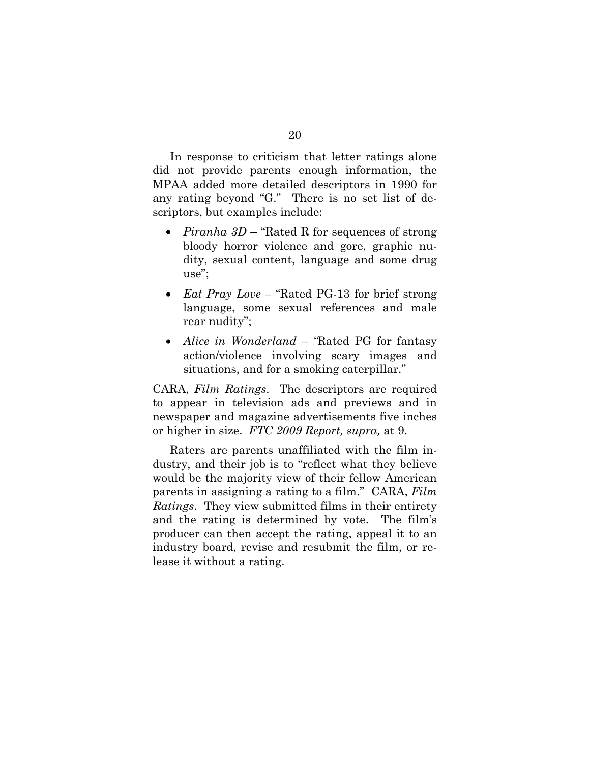In response to criticism that letter ratings alone did not provide parents enough information, the MPAA added more detailed descriptors in 1990 for any rating beyond "G." There is no set list of descriptors, but examples include:

- *Piranha 3D* "Rated R for sequences of strong bloody horror violence and gore, graphic nudity, sexual content, language and some drug use";
- *Eat Pray Love –* "Rated PG-13 for brief strong language, some sexual references and male rear nudity";
- *Alice in Wonderland – "*Rated PG for fantasy action/violence involving scary images and situations, and for a smoking caterpillar."

CARA, *Film Ratings*. The descriptors are required to appear in television ads and previews and in newspaper and magazine advertisements five inches or higher in size. *FTC 2009 Report, supra,* at 9.

Raters are parents unaffiliated with the film industry, and their job is to "reflect what they believe would be the majority view of their fellow American parents in assigning a rating to a film." CARA, *Film Ratings*. They view submitted films in their entirety and the rating is determined by vote. The film's producer can then accept the rating, appeal it to an industry board, revise and resubmit the film, or release it without a rating.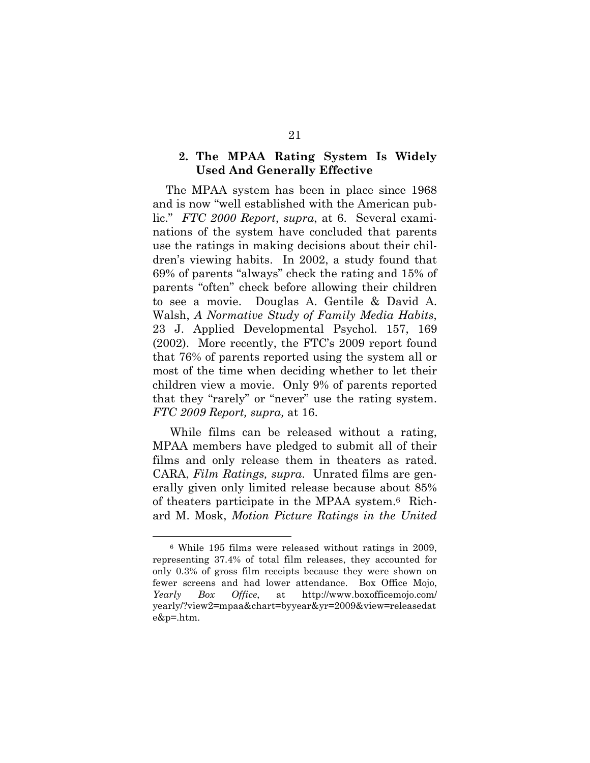#### **2. The MPAA Rating System Is Widely Used And Generally Effective**

The MPAA system has been in place since 1968 and is now "well established with the American public." *FTC 2000 Report*, *supra*, at 6. Several examinations of the system have concluded that parents use the ratings in making decisions about their children's viewing habits. In 2002, a study found that 69% of parents "always" check the rating and 15% of parents "often" check before allowing their children to see a movie. Douglas A. Gentile & David A. Walsh, *A Normative Study of Family Media Habits*, 23 J. Applied Developmental Psychol. 157, 169 (2002). More recently, the FTC's 2009 report found that 76% of parents reported using the system all or most of the time when deciding whether to let their children view a movie. Only 9% of parents reported that they "rarely" or "never" use the rating system. *FTC 2009 Report, supra,* at 16.

While films can be released without a rating, MPAA members have pledged to submit all of their films and only release them in theaters as rated. CARA, *Film Ratings, supra*. Unrated films are generally given only limited release because about 85% of theaters participate in the MPAA system.6 Richard M. Mosk, *Motion Picture Ratings in the United* 

<sup>6</sup> While 195 films were released without ratings in 2009, representing 37.4% of total film releases, they accounted for only 0.3% of gross film receipts because they were shown on fewer screens and had lower attendance. Box Office Mojo, *Yearly Box Office*, at h[ttp://w](http://www.b)[ww.b](www.b)oxofficemojo.com/ yearly/?view2=mpaa&chart=byyear&yr=2009&view=releasedat e&p=.htm.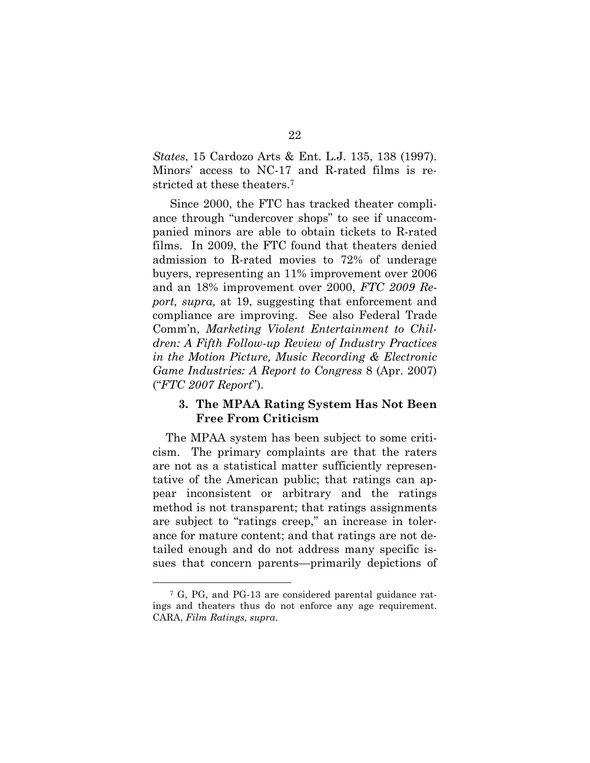*States*, 15 Cardozo Arts & Ent. L.J. 135, 138 (1997). Minors' access to NC-17 and R-rated films is restricted at these theaters. 7

Since 2000, the FTC has tracked theater compliance through "undercover shops" to see if unaccompanied minors are able to obtain tickets to R-rated films. In 2009, the FTC found that theaters denied admission to R-rated movies to 72% of underage buyers, representing an 11% improvement over 2006 and an 18% improvement over 2000, *FTC 2009 Report, supra,* at 19, suggesting that enforcement and compliance are improving. See also Federal Trade Comm'n, *Marketing Violent Entertainment to Children: A Fifth Follow-up Review of Industry Practices in the Motion Picture, Music Recording & Electronic Game Industries: A Report to Congress* 8 (Apr. 2007) ("*FTC 2007 Report*").

#### **3. The MPAA Rating System Has Not Been Free From Criticism**

The MPAA system has been subject to some criticism. The primary complaints are that the raters are not as a statistical matter sufficiently representative of the American public; that ratings can appear inconsistent or arbitrary and the ratings method is not transparent; that ratings assignments are subject to "ratings creep," an increase in tolerance for mature content; and that ratings are not detailed enough and do not address many specific issues that concern parents—primarily depictions of

<sup>7</sup> G, PG, and PG-13 are considered parental guidance ratings and theaters thus do not enforce any age requirement. CARA, *Film Ratings, supra*.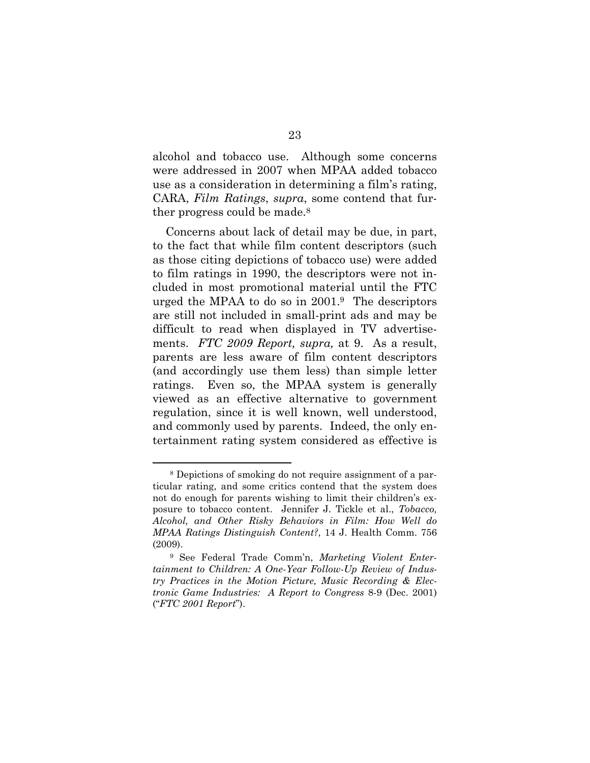alcohol and tobacco use. Although some concerns were addressed in 2007 when MPAA added tobacco use as a consideration in determining a film's rating, CARA, *Film Ratings*, *supra*, some contend that further progress could be made.<sup>8</sup>

Concerns about lack of detail may be due, in part, to the fact that while film content descriptors (such as those citing depictions of tobacco use) were added to film ratings in 1990, the descriptors were not included in most promotional material until the FTC urged the MPAA to do so in 2001. <sup>9</sup> The descriptors are still not included in small-print ads and may be difficult to read when displayed in TV advertisements. *FTC 2009 Report, supra,* at 9. As a result, parents are less aware of film content descriptors (and accordingly use them less) than simple letter ratings. Even so, the MPAA system is generally viewed as an effective alternative to government regulation, since it is well known, well understood, and commonly used by parents. Indeed, the only entertainment rating system considered as effective is

<sup>8</sup> Depictions of smoking do not require assignment of a particular rating, and some critics contend that the system does not do enough for parents wishing to limit their children's exposure to tobacco content. Jennifer J. Tickle et al., *Tobacco, Alcohol, and Other Risky Behaviors in Film: How Well do MPAA Ratings Distinguish Content?*, 14 J. Health Comm. 756 (2009).

<sup>9</sup> See Federal Trade Comm'n, *Marketing Violent Entertainment to Children: A One-Year Follow-Up Review of Industry Practices in the Motion Picture, Music Recording & Electronic Game Industries: A Report to Congress* 8-9 (Dec. 2001) ("*FTC 2001 Report*").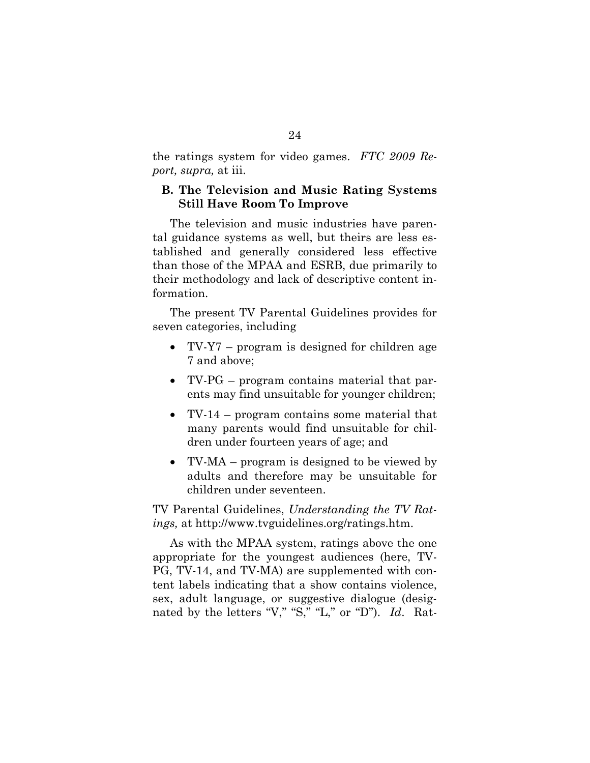the ratings system for video games. *FTC 2009 Report, supra,* at iii.

#### **B. The Television and Music Rating Systems Still Have Room To Improve**

The television and music industries have parental guidance systems as well, but theirs are less established and generally considered less effective than those of the MPAA and ESRB, due primarily to their methodology and lack of descriptive content information.

The present TV Parental Guidelines provides for seven categories, including

- TV-Y7 program is designed for children age 7 and above;
- TV-PG program contains material that parents may find unsuitable for younger children;
- TV-14 program contains some material that many parents would find unsuitable for children under fourteen years of age; and
- TV-MA program is designed to be viewed by adults and therefore may be unsuitable for children under seventeen.

TV Parental Guidelines, *Understanding the TV Ratings,* at [http://ww](http://www.tv)[w.tvg](www.tv)uidelines.org/ratings.htm.

As with the MPAA system, ratings above the one appropriate for the youngest audiences (here, TV-PG, TV-14, and TV-MA) are supplemented with content labels indicating that a show contains violence, sex, adult language, or suggestive dialogue (designated by the letters "V," "S," "L," or "D"). *Id*. Rat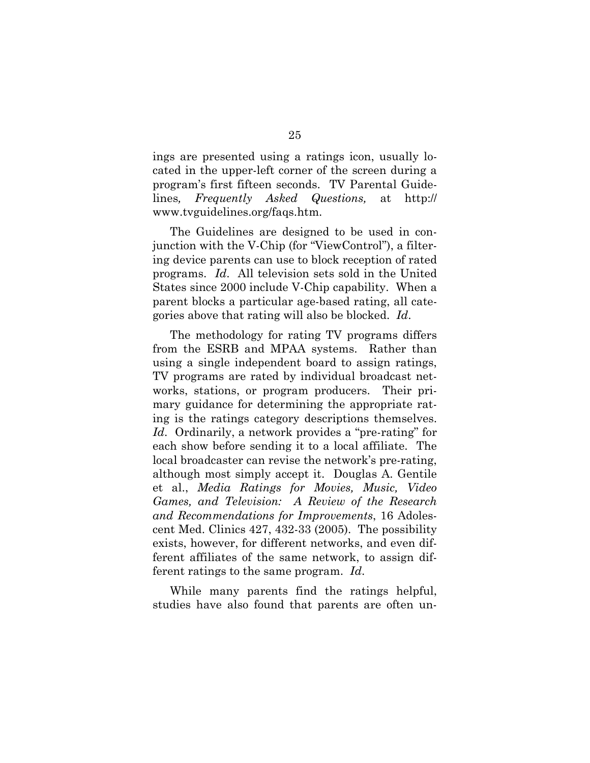ings are presented using a ratings icon, usually located in the upper-left corner of the screen during a program's first fifteen seconds. TV Parental Guidelines*, Frequently Asked Questions,* at <http://> w[ww.tvg](www.tv)uidelines.org/faqs.htm.

The Guidelines are designed to be used in conjunction with the V-Chip (for "ViewControl"), a filtering device parents can use to block reception of rated programs. *Id*. All television sets sold in the United States since 2000 include V-Chip capability. When a parent blocks a particular age-based rating, all categories above that rating will also be blocked. *Id*.

The methodology for rating TV programs differs from the ESRB and MPAA systems. Rather than using a single independent board to assign ratings, TV programs are rated by individual broadcast networks, stations, or program producers. Their primary guidance for determining the appropriate rating is the ratings category descriptions themselves. *Id*. Ordinarily, a network provides a "pre-rating" for each show before sending it to a local affiliate. The local broadcaster can revise the network's pre-rating, although most simply accept it. Douglas A. Gentile et al., *Media Ratings for Movies, Music, Video Games, and Television: A Review of the Research and Recommendations for Improvements*, 16 Adolescent Med. Clinics 427, 432-33 (2005). The possibility exists, however, for different networks, and even different affiliates of the same network, to assign different ratings to the same program. *Id*.

While many parents find the ratings helpful, studies have also found that parents are often un-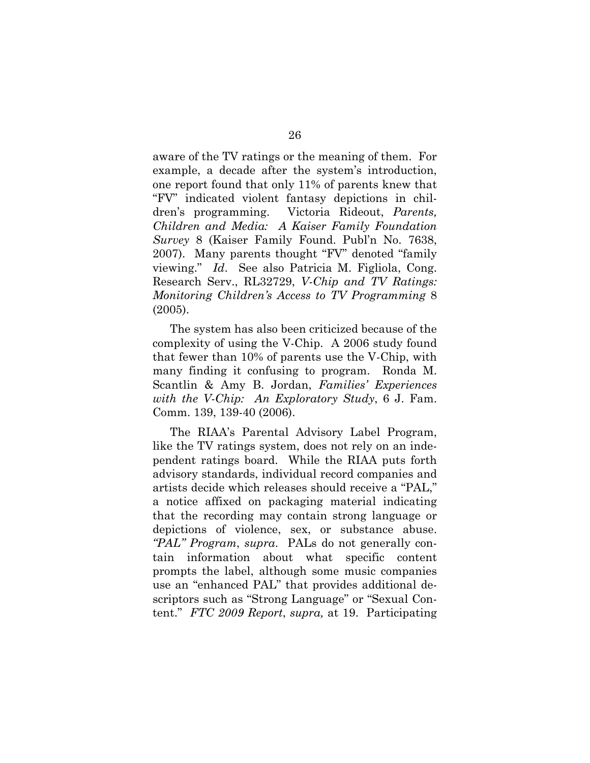aware of the TV ratings or the meaning of them. For example, a decade after the system's introduction, one report found that only 11% of parents knew that "FV" indicated violent fantasy depictions in children's programming. Victoria Rideout, *Parents, Children and Media: A Kaiser Family Foundation Survey* 8 (Kaiser Family Found. Publ'n No. 7638, 2007). Many parents thought "FV" denoted "family viewing." *Id*. See also Patricia M. Figliola, Cong. Research Serv., RL32729, *V-Chip and TV Ratings: Monitoring Children's Access to TV Programming* 8 (2005).

The system has also been criticized because of the complexity of using the V-Chip. A 2006 study found that fewer than 10% of parents use the V-Chip, with many finding it confusing to program. Ronda M. Scantlin & Amy B. Jordan, *Families' Experiences with the V-Chip: An Exploratory Study*, 6 J. Fam. Comm. 139, 139-40 (2006).

The RIAA's Parental Advisory Label Program, like the TV ratings system, does not rely on an independent ratings board. While the RIAA puts forth advisory standards, individual record companies and artists decide which releases should receive a "PAL," a notice affixed on packaging material indicating that the recording may contain strong language or depictions of violence, sex, or substance abuse. *"PAL" Program*, *supra*. PALs do not generally contain information about what specific content prompts the label, although some music companies use an "enhanced PAL" that provides additional descriptors such as "Strong Language" or "Sexual Content." *FTC 2009 Report*, *supra,* at 19. Participating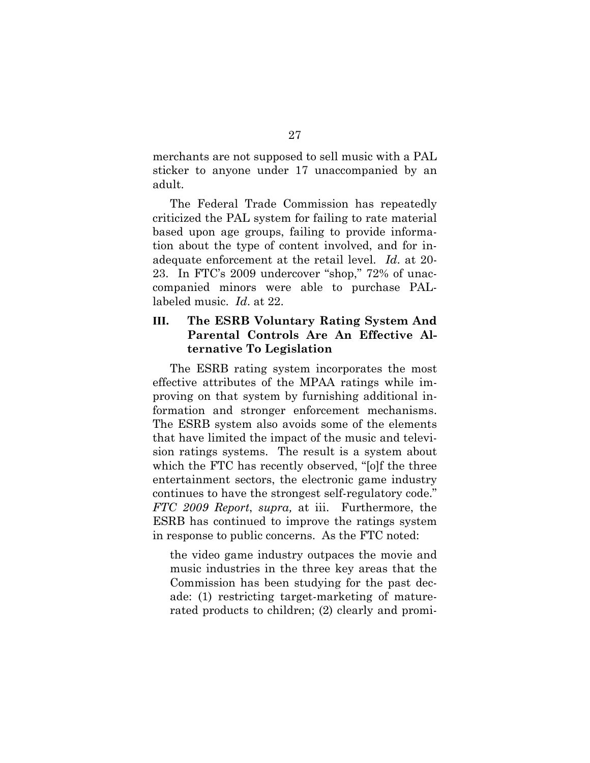merchants are not supposed to sell music with a PAL sticker to anyone under 17 unaccompanied by an adult.

The Federal Trade Commission has repeatedly criticized the PAL system for failing to rate material based upon age groups, failing to provide information about the type of content involved, and for inadequate enforcement at the retail level. *Id*. at 20- 23. In FTC's 2009 undercover "shop," 72% of unaccompanied minors were able to purchase PALlabeled music. *Id*. at 22.

### **III. The ESRB Voluntary Rating System And Parental Controls Are An Effective Alternative To Legislation**

The ESRB rating system incorporates the most effective attributes of the MPAA ratings while improving on that system by furnishing additional information and stronger enforcement mechanisms. The ESRB system also avoids some of the elements that have limited the impact of the music and television ratings systems. The result is a system about which the FTC has recently observed, "[o]f the three entertainment sectors, the electronic game industry continues to have the strongest self-regulatory code." *FTC 2009 Report*, *supra,* at iii. Furthermore, the ESRB has continued to improve the ratings system in response to public concerns. As the FTC noted:

the video game industry outpaces the movie and music industries in the three key areas that the Commission has been studying for the past decade: (1) restricting target-marketing of maturerated products to children; (2) clearly and promi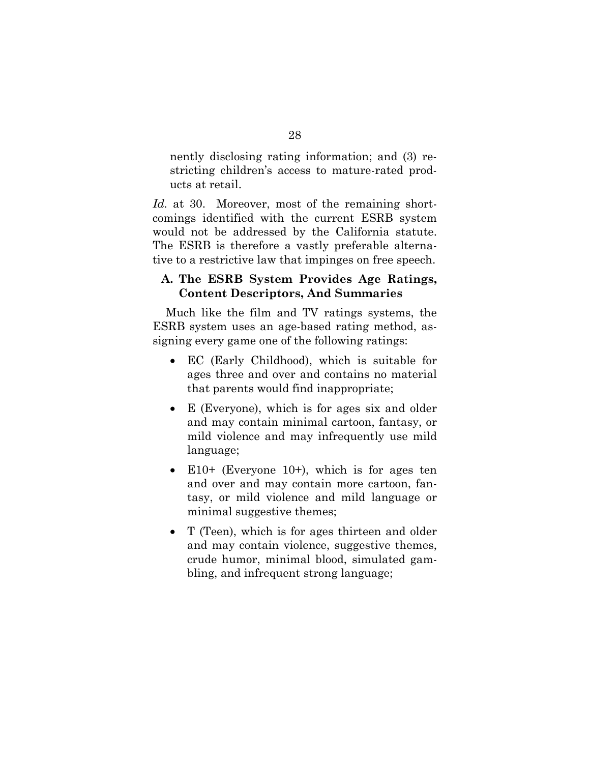nently disclosing rating information; and (3) restricting children's access to mature-rated products at retail.

*Id.* at 30. Moreover, most of the remaining shortcomings identified with the current ESRB system would not be addressed by the California statute. The ESRB is therefore a vastly preferable alternative to a restrictive law that impinges on free speech.

#### **A. The ESRB System Provides Age Ratings, Content Descriptors, And Summaries**

Much like the film and TV ratings systems, the ESRB system uses an age-based rating method, assigning every game one of the following ratings:

- EC (Early Childhood), which is suitable for ages three and over and contains no material that parents would find inappropriate;
- E (Everyone), which is for ages six and older and may contain minimal cartoon, fantasy, or mild violence and may infrequently use mild language;
- $\bullet$  E10+ (Everyone 10+), which is for ages ten and over and may contain more cartoon, fantasy, or mild violence and mild language or minimal suggestive themes;
- T (Teen), which is for ages thirteen and older and may contain violence, suggestive themes, crude humor, minimal blood, simulated gambling, and infrequent strong language;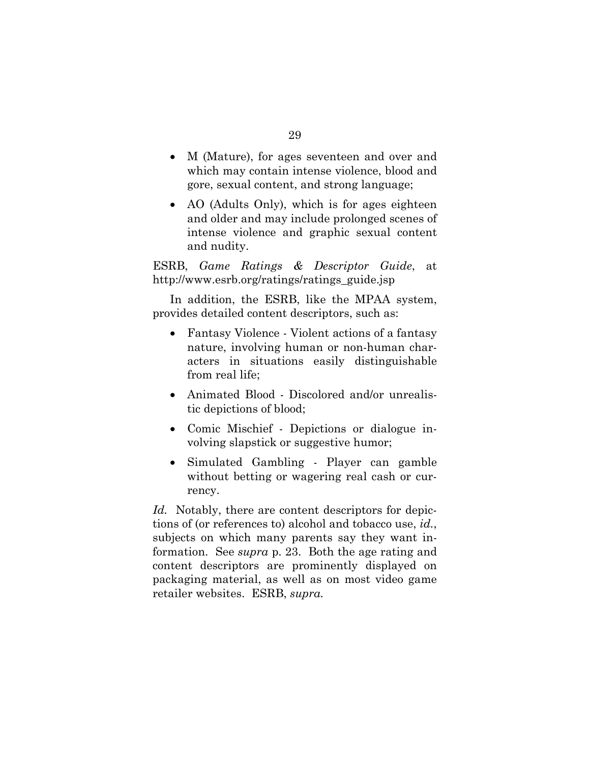- M (Mature), for ages seventeen and over and which may contain intense violence, blood and gore, sexual content, and strong language;
- AO (Adults Only), which is for ages eighteen and older and may include prolonged scenes of intense violence and graphic sexual content and nudity.

ESRB, *Game Ratings & Descriptor Guide*, at h[ttp://w](http://www.e)[ww.e](www.e)srb.org/ratings/ratings\_guide.jsp

In addition, the ESRB, like the MPAA system, provides detailed content descriptors, such as:

- Fantasy Violence Violent actions of a fantasy nature, involving human or non-human characters in situations easily distinguishable from real life;
- Animated Blood Discolored and/or unrealistic depictions of blood;
- Comic Mischief Depictions or dialogue involving slapstick or suggestive humor;
- Simulated Gambling Player can gamble without betting or wagering real cash or currency.

*Id.* Notably, there are content descriptors for depictions of (or references to) alcohol and tobacco use, *id.*, subjects on which many parents say they want information. See *supra* p. 23. Both the age rating and content descriptors are prominently displayed on packaging material, as well as on most video game retailer websites. ESRB, *supra.*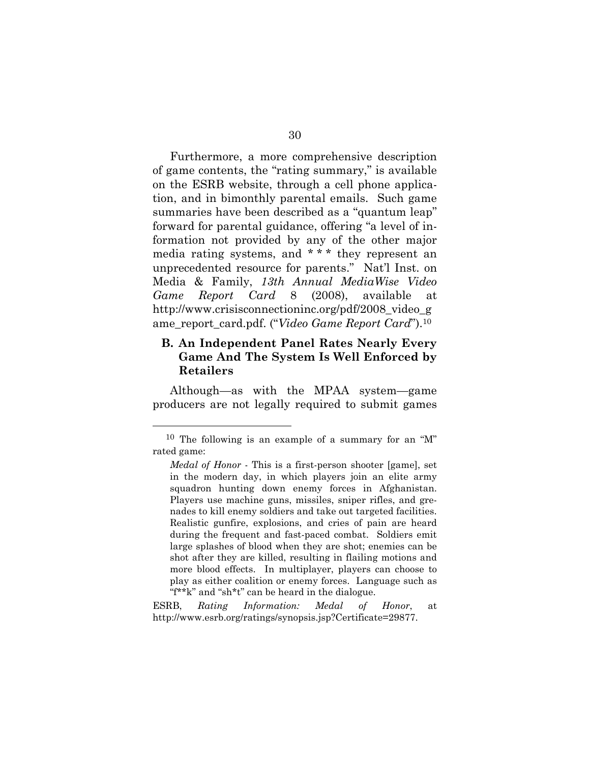Furthermore, a more comprehensive description of game contents, the "rating summary," is available on the ESRB website, through a cell phone application, and in bimonthly parental emails. Such game summaries have been described as a "quantum leap" forward for parental guidance, offering "a level of information not provided by any of the other major media rating systems, and \* \* \* they represent an unprecedented resource for parents." Nat'l Inst. on Media & Family, *13th Annual MediaWise Video Game Report Card* 8 (2008), available at h[ttp://w](http://www.cri)[ww.cris](www.cri)isconnectioninc.org/pdf/2008\_video\_g ame\_report\_card.pdf. ("*Video Game Report Card*").<sup>10</sup>

### **B. An Independent Panel Rates Nearly Every Game And The System Is Well Enforced by Retailers**

Although—as with the MPAA system—game producers are not legally required to submit games

 $\overline{a}$ 

ESRB, *Rating Information: Medal of Honor*, at [http://w](http://www.e)[ww.e](www.e)srb.org/ratings/synopsis.jsp?Certificate=29877.

<sup>10</sup> The following is an example of a summary for an "M" rated game:

*Medal of Honor* - This is a first-person shooter [game], set in the modern day, in which players join an elite army squadron hunting down enemy forces in Afghanistan. Players use machine guns, missiles, sniper rifles, and grenades to kill enemy soldiers and take out targeted facilities. Realistic gunfire, explosions, and cries of pain are heard during the frequent and fast-paced combat. Soldiers emit large splashes of blood when they are shot; enemies can be shot after they are killed, resulting in flailing motions and more blood effects. In multiplayer, players can choose to play as either coalition or enemy forces. Language such as "f\*\*k" and "sh\*t" can be heard in the dialogue.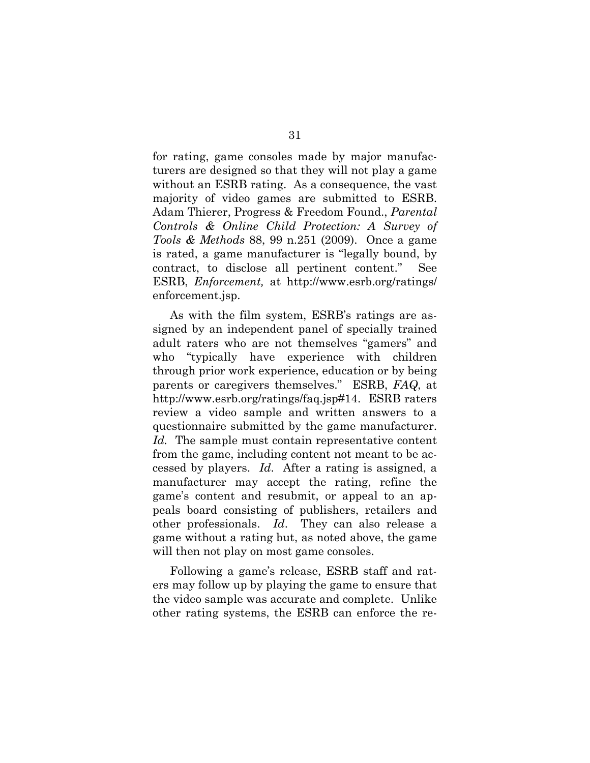for rating, game consoles made by major manufacturers are designed so that they will not play a game without an ESRB rating. As a consequence, the vast majority of video games are submitted to ESRB. Adam Thierer, Progress & Freedom Found., *Parental Controls & Online Child Protection: A Survey of Tools & Methods* 88, 99 n.251 (2009). Once a game is rated, a game manufacturer is "legally bound, by contract, to disclose all pertinent content." See ESRB, *Enforcement,* at h[ttp://](http://)w[ww.es](www.e)rb.org/ratings/ enforcement.jsp.

As with the film system, ESRB's ratings are assigned by an independent panel of specially trained adult raters who are not themselves "gamers" and who "typically have experience with children through prior work experience, education or by being parents or caregivers themselves." ESRB, *FAQ*, at h[ttp://w](http://www.e)[ww.e](www.e)srb.org/ratings/faq.jsp#14. ESRB raters review a video sample and written answers to a questionnaire submitted by the game manufacturer. *Id.* The sample must contain representative content from the game, including content not meant to be accessed by players. *Id*. After a rating is assigned, a manufacturer may accept the rating, refine the game's content and resubmit, or appeal to an appeals board consisting of publishers, retailers and other professionals. *Id*. They can also release a game without a rating but, as noted above, the game will then not play on most game consoles.

Following a game's release, ESRB staff and raters may follow up by playing the game to ensure that the video sample was accurate and complete. Unlike other rating systems, the ESRB can enforce the re-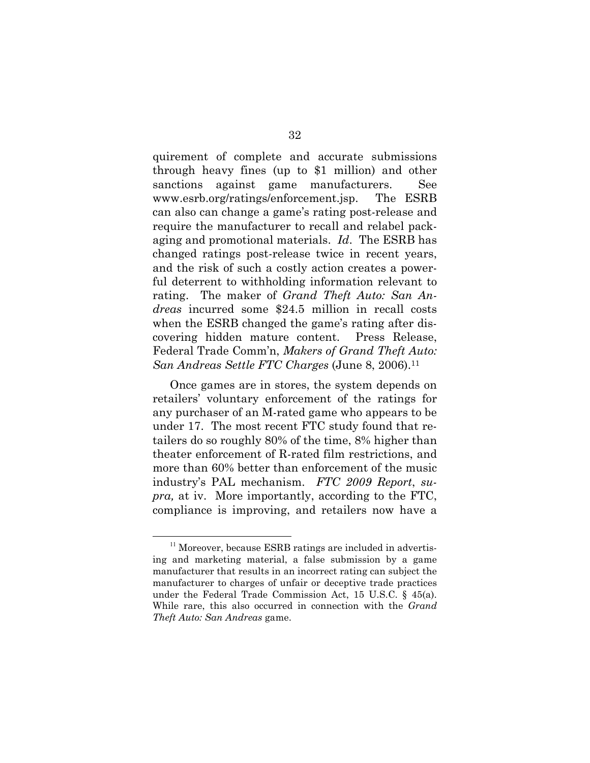quirement of complete and accurate submissions through heavy fines (up to \$1 million) and other sanctions against game manufacturers. See w[ww.es](www.e)rb.org/ratings/enforcement.jsp. The ESRB can also can change a game's rating post-release and require the manufacturer to recall and relabel packaging and promotional materials. *Id*. The ESRB has changed ratings post-release twice in recent years, and the risk of such a costly action creates a powerful deterrent to withholding information relevant to rating. The maker of *Grand Theft Auto: San Andreas* incurred some \$24.5 million in recall costs when the ESRB changed the game's rating after discovering hidden mature content. Press Release, Federal Trade Comm'n, *Makers of Grand Theft Auto: San Andreas Settle FTC Charges* (June 8, 2006).<sup>11</sup>

Once games are in stores, the system depends on retailers' voluntary enforcement of the ratings for any purchaser of an M-rated game who appears to be under 17. The most recent FTC study found that retailers do so roughly 80% of the time, 8% higher than theater enforcement of R-rated film restrictions, and more than 60% better than enforcement of the music industry's PAL mechanism. *FTC 2009 Report*, *supra,* at iv. More importantly, according to the FTC, compliance is improving, and retailers now have a

 $11$  Moreover, because ESRB ratings are included in advertising and marketing material, a false submission by a game manufacturer that results in an incorrect rating can subject the manufacturer to charges of unfair or deceptive trade practices under the Federal Trade Commission Act, 15 U.S.C. § 45(a). While rare, this also occurred in connection with the *Grand Theft Auto: San Andreas* game.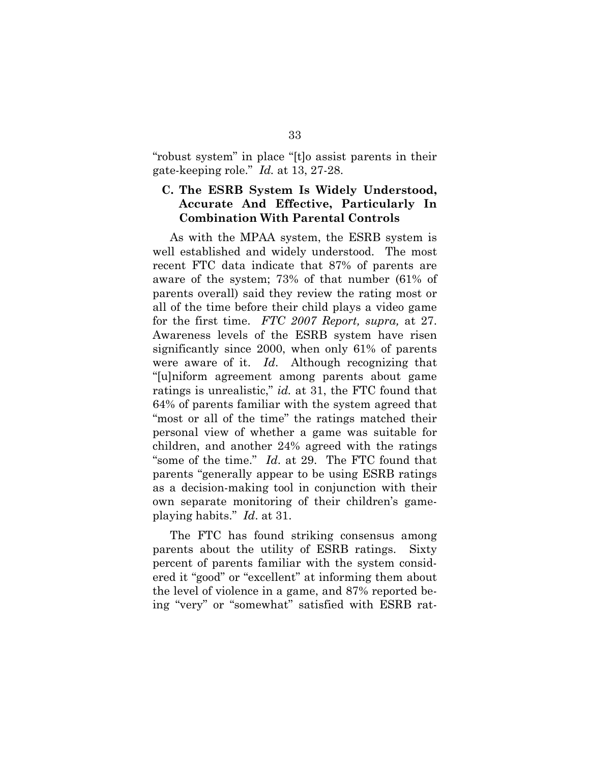"robust system" in place "[t]o assist parents in their gate-keeping role." *Id.* at 13, 27-28.

#### **C. The ESRB System Is Widely Understood, Accurate And Effective, Particularly In Combination With Parental Controls**

As with the MPAA system, the ESRB system is well established and widely understood. The most recent FTC data indicate that 87% of parents are aware of the system; 73% of that number (61% of parents overall) said they review the rating most or all of the time before their child plays a video game for the first time. *FTC 2007 Report, supra,* at 27. Awareness levels of the ESRB system have risen significantly since 2000, when only 61% of parents were aware of it. *Id*. Although recognizing that "[u]niform agreement among parents about game ratings is unrealistic," *id.* at 31, the FTC found that 64% of parents familiar with the system agreed that "most or all of the time" the ratings matched their personal view of whether a game was suitable for children, and another 24% agreed with the ratings "some of the time." *Id*. at 29. The FTC found that parents "generally appear to be using ESRB ratings as a decision-making tool in conjunction with their own separate monitoring of their children's gameplaying habits." *Id*. at 31.

The FTC has found striking consensus among parents about the utility of ESRB ratings. Sixty percent of parents familiar with the system considered it "good" or "excellent" at informing them about the level of violence in a game, and 87% reported being "very" or "somewhat" satisfied with ESRB rat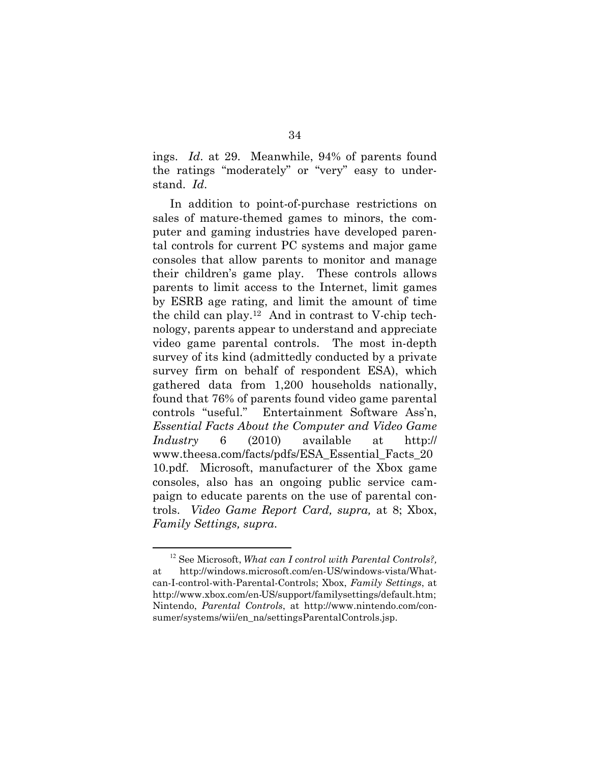ings. *Id*. at 29. Meanwhile, 94% of parents found the ratings "moderately" or "very" easy to understand. *Id*.

In addition to point-of-purchase restrictions on sales of mature-themed games to minors, the computer and gaming industries have developed parental controls for current PC systems and major game consoles that allow parents to monitor and manage their children's game play. These controls allows parents to limit access to the Internet, limit games by ESRB age rating, and limit the amount of time the child can play. 12 And in contrast to V-chip technology, parents appear to understand and appreciate video game parental controls. The most in-depth survey of its kind (admittedly conducted by a private survey firm on behalf of respondent ESA), which gathered data from 1,200 households nationally, found that 76% of parents found video game parental controls "useful." Entertainment Software Ass'n, *Essential Facts About the Computer and Video Game Industry* 6 (2010) available at <http://> w[ww.thees](www.thee)a.com/facts/pdfs/ESA\_Essential\_Facts\_20 10.pdf. Microsoft, manufacturer of the Xbox game consoles, also has an ongoing public service campaign to educate parents on the use of parental controls. *Video Game Report Card, supra,* at 8; Xbox, *Family Settings, supra*.

<sup>12</sup> See Microsoft, *What can I control with Parental Controls?,*  at h[ttp://wind](http://wind)ows.microsoft.com/en-US/windows-vista/Whatcan-I-control-with-Parental-Controls; Xbox, *Family Settings*, at [http://w](http://www.xb)[ww.xb](www.xb)ox.com/en-US/support/familysettings/default.htm; Nintendo, *Parental Controls*, at h[ttp://w](http://www.nintend)[ww.nintendo](www.nintend).com/consumer/systems/wii/en\_na/settingsParentalControls.jsp.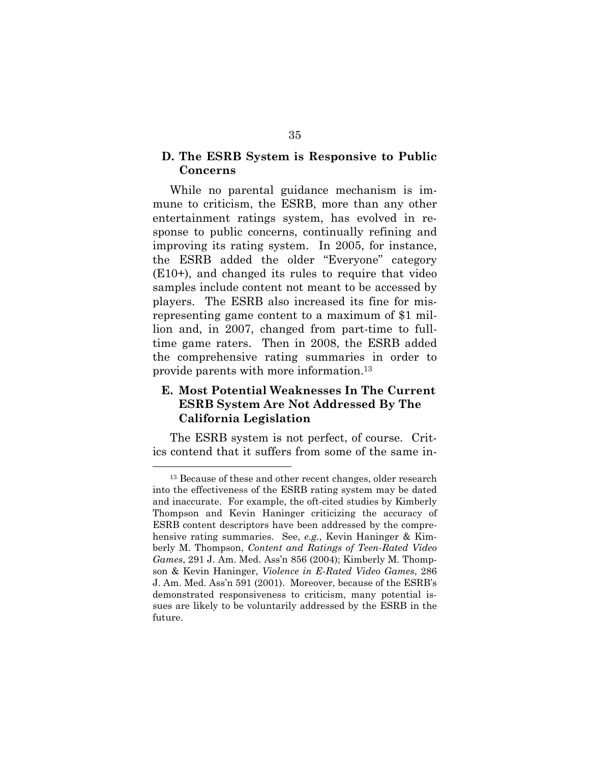#### **D. The ESRB System is Responsive to Public Concerns**

While no parental guidance mechanism is immune to criticism, the ESRB, more than any other entertainment ratings system, has evolved in response to public concerns, continually refining and improving its rating system. In 2005, for instance, the ESRB added the older "Everyone" category (E10+), and changed its rules to require that video samples include content not meant to be accessed by players. The ESRB also increased its fine for misrepresenting game content to a maximum of \$1 million and, in 2007, changed from part-time to fulltime game raters. Then in 2008, the ESRB added the comprehensive rating summaries in order to provide parents with more information.<sup>13</sup>

### **E. Most Potential Weaknesses In The Current ESRB System Are Not Addressed By The California Legislation**

The ESRB system is not perfect, of course. Critics contend that it suffers from some of the same in-

<sup>&</sup>lt;sup>13</sup> Because of these and other recent changes, older research into the effectiveness of the ESRB rating system may be dated and inaccurate. For example, the oft-cited studies by Kimberly Thompson and Kevin Haninger criticizing the accuracy of ESRB content descriptors have been addressed by the comprehensive rating summaries. See, *e.g.*, Kevin Haninger & Kimberly M. Thompson, *Content and Ratings of Teen-Rated Video Games*, 291 J. Am. Med. Ass'n 856 (2004); Kimberly M. Thompson & Kevin Haninger, *Violence in E-Rated Video Games*, 286 J. Am. Med. Ass'n 591 (2001). Moreover, because of the ESRB's demonstrated responsiveness to criticism, many potential issues are likely to be voluntarily addressed by the ESRB in the future.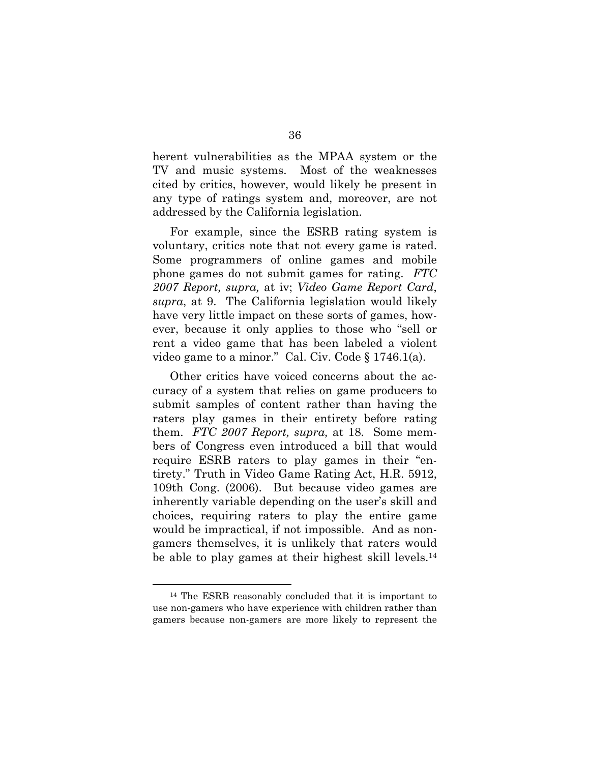herent vulnerabilities as the MPAA system or the TV and music systems. Most of the weaknesses cited by critics, however, would likely be present in any type of ratings system and, moreover, are not addressed by the California legislation.

For example, since the ESRB rating system is voluntary, critics note that not every game is rated. Some programmers of online games and mobile phone games do not submit games for rating. *FTC 2007 Report, supra,* at iv; *Video Game Report Card*, *supra*, at 9. The California legislation would likely have very little impact on these sorts of games, however, because it only applies to those who "sell or rent a video game that has been labeled a violent video game to a minor." Cal. Civ. Code § 1746.1(a).

Other critics have voiced concerns about the accuracy of a system that relies on game producers to submit samples of content rather than having the raters play games in their entirety before rating them. *FTC 2007 Report, supra,* at 18. Some members of Congress even introduced a bill that would require ESRB raters to play games in their "entirety." Truth in Video Game Rating Act, H.R. 5912, 109th Cong. (2006). But because video games are inherently variable depending on the user's skill and choices, requiring raters to play the entire game would be impractical, if not impossible. And as nongamers themselves, it is unlikely that raters would be able to play games at their highest skill levels.<sup>14</sup>

<sup>14</sup> The ESRB reasonably concluded that it is important to use non-gamers who have experience with children rather than gamers because non-gamers are more likely to represent the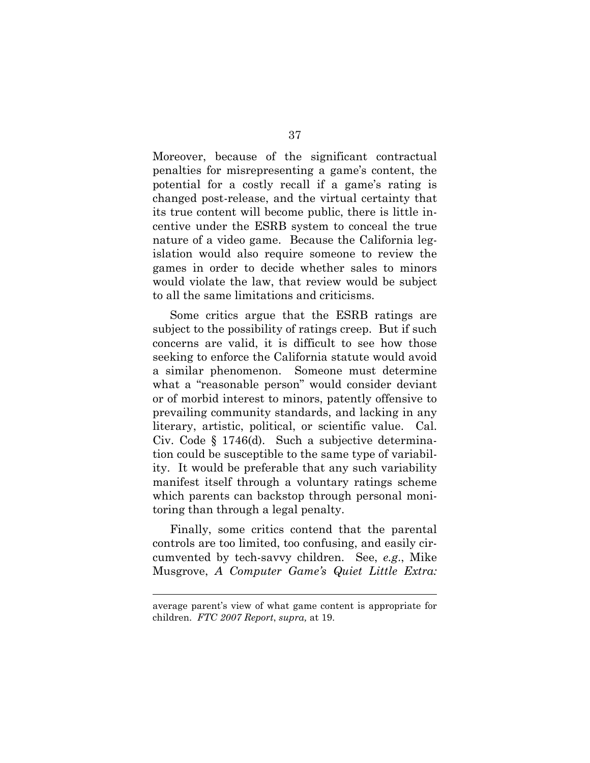Moreover, because of the significant contractual penalties for misrepresenting a game's content, the potential for a costly recall if a game's rating is changed post-release, and the virtual certainty that its true content will become public, there is little incentive under the ESRB system to conceal the true nature of a video game. Because the California legislation would also require someone to review the games in order to decide whether sales to minors would violate the law, that review would be subject to all the same limitations and criticisms.

Some critics argue that the ESRB ratings are subject to the possibility of ratings creep. But if such concerns are valid, it is difficult to see how those seeking to enforce the California statute would avoid a similar phenomenon. Someone must determine what a "reasonable person" would consider deviant or of morbid interest to minors, patently offensive to prevailing community standards, and lacking in any literary, artistic, political, or scientific value. Cal. Civ. Code § 1746(d). Such a subjective determination could be susceptible to the same type of variability. It would be preferable that any such variability manifest itself through a voluntary ratings scheme which parents can backstop through personal monitoring than through a legal penalty.

Finally, some critics contend that the parental controls are too limited, too confusing, and easily circumvented by tech-savvy children. See, *e.g*., Mike Musgrove, *A Computer Game's Quiet Little Extra:* 

average parent's view of what game content is appropriate for children. *FTC 2007 Report*, *supra,* at 19.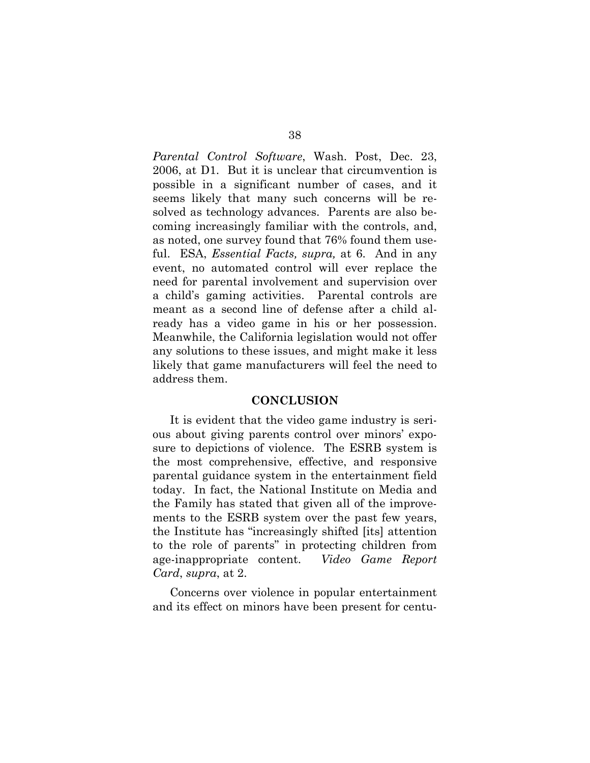*Parental Control Software*, Wash. Post, Dec. 23, 2006, at D1. But it is unclear that circumvention is possible in a significant number of cases, and it seems likely that many such concerns will be resolved as technology advances. Parents are also becoming increasingly familiar with the controls, and, as noted, one survey found that 76% found them useful. ESA, *Essential Facts, supra,* at 6. And in any event, no automated control will ever replace the need for parental involvement and supervision over a child's gaming activities. Parental controls are meant as a second line of defense after a child already has a video game in his or her possession. Meanwhile, the California legislation would not offer any solutions to these issues, and might make it less likely that game manufacturers will feel the need to address them.

#### **CONCLUSION**

It is evident that the video game industry is serious about giving parents control over minors' exposure to depictions of violence. The ESRB system is the most comprehensive, effective, and responsive parental guidance system in the entertainment field today. In fact, the National Institute on Media and the Family has stated that given all of the improvements to the ESRB system over the past few years, the Institute has "increasingly shifted [its] attention to the role of parents" in protecting children from age-inappropriate content. *Video Game Report Card*, *supra*, at 2.

Concerns over violence in popular entertainment and its effect on minors have been present for centu